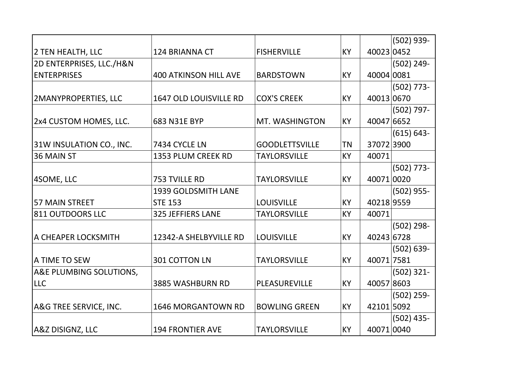|                             |                              |                       |           |            | $(502)$ 939-  |
|-----------------------------|------------------------------|-----------------------|-----------|------------|---------------|
| 2 TEN HEALTH, LLC           | <b>124 BRIANNA CT</b>        | <b>FISHERVILLE</b>    | KY        | 40023 0452 |               |
| 2D ENTERPRISES, LLC./H&N    |                              |                       |           |            | $(502)$ 249-  |
| <b>ENTERPRISES</b>          | <b>400 ATKINSON HILL AVE</b> | <b>BARDSTOWN</b>      | KY        | 40004 0081 |               |
|                             |                              |                       |           |            | $(502)$ 773-  |
| <b>2MANYPROPERTIES, LLC</b> | 1647 OLD LOUISVILLE RD       | <b>COX'S CREEK</b>    | <b>KY</b> | 40013 0670 |               |
|                             |                              |                       |           |            | $(502) 797 -$ |
| 2x4 CUSTOM HOMES, LLC.      | 683 N31E BYP                 | MT. WASHINGTON        | KY        | 40047 6652 |               |
|                             |                              |                       |           |            | $(615) 643 -$ |
| 31W INSULATION CO., INC.    | 7434 CYCLE LN                | <b>GOODLETTSVILLE</b> | ΤN        | 370723900  |               |
| 36 MAIN ST                  | 1353 PLUM CREEK RD           | <b>TAYLORSVILLE</b>   | KY        | 40071      |               |
|                             |                              |                       |           |            | $(502)$ 773-  |
| 4SOME, LLC                  | 753 TVILLE RD                | <b>TAYLORSVILLE</b>   | <b>KY</b> | 40071 0020 |               |
|                             | <b>1939 GOLDSMITH LANE</b>   |                       |           |            | $(502)$ 955-  |
| 57 MAIN STREET              | <b>STE 153</b>               | <b>LOUISVILLE</b>     | KY        | 40218 9559 |               |
| 811 OUTDOORS LLC            | <b>325 JEFFIERS LANE</b>     | <b>TAYLORSVILLE</b>   | <b>KY</b> | 40071      |               |
|                             |                              |                       |           |            | $(502)$ 298-  |
| A CHEAPER LOCKSMITH         | 12342-A SHELBYVILLE RD       | <b>LOUISVILLE</b>     | KY        | 40243 6728 |               |
|                             |                              |                       |           |            | $(502) 639 -$ |
| <b>A TIME TO SEW</b>        | 301 COTTON LN                | <b>TAYLORSVILLE</b>   | <b>KY</b> | 40071 7581 |               |
| A&E PLUMBING SOLUTIONS,     |                              |                       |           |            | $(502)$ 321-  |
| <b>LLC</b>                  | <b>3885 WASHBURN RD</b>      | PLEASUREVILLE         | KY        | 40057 8603 |               |
|                             |                              |                       |           |            | $(502)$ 259-  |
| A&G TREE SERVICE, INC.      | <b>1646 MORGANTOWN RD</b>    | <b>BOWLING GREEN</b>  | KY        | 42101 5092 |               |
|                             |                              |                       |           |            | $(502)$ 435-  |
| <b>A&amp;Z DISIGNZ, LLC</b> | <b>194 FRONTIER AVE</b>      | <b>TAYLORSVILLE</b>   | KY        | 40071 0040 |               |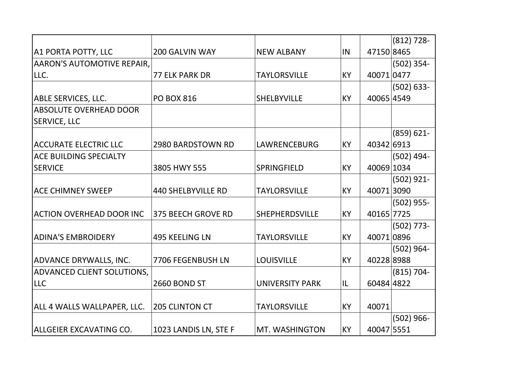|                                   |                           |                        |           |            | $(812)$ 728-  |
|-----------------------------------|---------------------------|------------------------|-----------|------------|---------------|
| A1 PORTA POTTY, LLC               | <b>200 GALVIN WAY</b>     | <b>NEW ALBANY</b>      | IN        | 47150 8465 |               |
| <b>AARON'S AUTOMOTIVE REPAIR,</b> |                           |                        |           |            | $(502)$ 354-  |
| LLC.                              | <b>77 ELK PARK DR</b>     | <b>TAYLORSVILLE</b>    | KY        | 40071 0477 |               |
|                                   |                           |                        |           |            | $(502) 633 -$ |
| <b>ABLE SERVICES, LLC.</b>        | <b>PO BOX 816</b>         | <b>SHELBYVILLE</b>     | KY        | 40065 4549 |               |
| <b>ABSOLUTE OVERHEAD DOOR</b>     |                           |                        |           |            |               |
| <b>SERVICE, LLC</b>               |                           |                        |           |            |               |
|                                   |                           |                        |           |            | $(859) 621 -$ |
| <b>ACCURATE ELECTRIC LLC</b>      | 2980 BARDSTOWN RD         | LAWRENCEBURG           | KY        | 40342 6913 |               |
| <b>ACE BUILDING SPECIALTY</b>     |                           |                        |           |            | $(502)$ 494-  |
| <b>SERVICE</b>                    | 3805 HWY 555              | SPRINGFIELD            | KY        | 40069 1034 |               |
|                                   |                           |                        |           |            | $(502)$ 921-  |
| <b>ACE CHIMNEY SWEEP</b>          | <b>440 SHELBYVILLE RD</b> | <b>TAYLORSVILLE</b>    | KY        | 400713090  |               |
|                                   |                           |                        |           |            | $(502)$ 955-  |
| <b>ACTION OVERHEAD DOOR INC</b>   | 375 BEECH GROVE RD        | SHEPHERDSVILLE         | <b>KY</b> | 40165 7725 |               |
|                                   |                           |                        |           |            | $(502)$ 773-  |
| <b>ADINA'S EMBROIDERY</b>         | 495 KEELING LN            | <b>TAYLORSVILLE</b>    | <b>KY</b> | 400710896  |               |
|                                   |                           |                        |           |            | $(502) 964 -$ |
| <b>ADVANCE DRYWALLS, INC.</b>     | 7706 FEGENBUSH LN         | <b>LOUISVILLE</b>      | <b>KY</b> | 40228 8988 |               |
| <b>ADVANCED CLIENT SOLUTIONS,</b> |                           |                        |           |            | $(815) 704 -$ |
| <b>LLC</b>                        | 2660 BOND ST              | <b>UNIVERSITY PARK</b> | IL        | 60484 4822 |               |
|                                   |                           |                        |           |            |               |
| ALL 4 WALLS WALLPAPER, LLC.       | <b>205 CLINTON CT</b>     | <b>TAYLORSVILLE</b>    | <b>KY</b> | 40071      |               |
|                                   |                           |                        |           |            | $(502)$ 966-  |
| ALLGEIER EXCAVATING CO.           | 1023 LANDIS LN, STE F     | MT. WASHINGTON         | <b>KY</b> | 40047 5551 |               |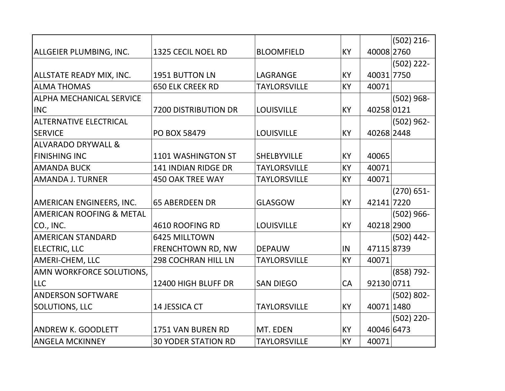|                                     |                             |                     |           |            | $(502)$ 216-  |
|-------------------------------------|-----------------------------|---------------------|-----------|------------|---------------|
| ALLGEIER PLUMBING, INC.             | 1325 CECIL NOEL RD          | <b>BLOOMFIELD</b>   | <b>KY</b> | 40008 2760 |               |
|                                     |                             |                     |           |            | $(502)$ 222-  |
| <b>ALLSTATE READY MIX, INC.</b>     | 1951 BUTTON LN              | LAGRANGE            | KY        | 40031 7750 |               |
| <b>ALMA THOMAS</b>                  | <b>650 ELK CREEK RD</b>     | <b>TAYLORSVILLE</b> | <b>KY</b> | 40071      |               |
| <b>ALPHA MECHANICAL SERVICE</b>     |                             |                     |           |            | $(502)$ 968-  |
| <b>INC</b>                          | <b>7200 DISTRIBUTION DR</b> | <b>LOUISVILLE</b>   | KY        | 40258 0121 |               |
| ALTERNATIVE ELECTRICAL              |                             |                     |           |            | $(502)$ 962-  |
| <b>SERVICE</b>                      | PO BOX 58479                | <b>LOUISVILLE</b>   | KY        | 40268 2448 |               |
| ALVARADO DRYWALL &                  |                             |                     |           |            |               |
| <b>FINISHING INC</b>                | 1101 WASHINGTON ST          | <b>SHELBYVILLE</b>  | KY        | 40065      |               |
| <b>AMANDA BUCK</b>                  | <b>141 INDIAN RIDGE DR</b>  | <b>TAYLORSVILLE</b> | <b>KY</b> | 40071      |               |
| AMANDA J. TURNER                    | <b>450 OAK TREE WAY</b>     | <b>TAYLORSVILLE</b> | <b>KY</b> | 40071      |               |
|                                     |                             |                     |           |            | $(270) 651 -$ |
| <b>AMERICAN ENGINEERS, INC.</b>     | <b>65 ABERDEEN DR</b>       | <b>GLASGOW</b>      | <b>KY</b> | 42141 7220 |               |
| <b>AMERICAN ROOFING &amp; METAL</b> |                             |                     |           |            | $(502)$ 966-  |
| CO., INC.                           | 4610 ROOFING RD             | <b>LOUISVILLE</b>   | KY        | 40218 2900 |               |
| AMERICAN STANDARD                   | 6425 MILLTOWN               |                     |           |            | $(502)$ 442-  |
| <b>ELECTRIC, LLC</b>                | FRENCHTOWN RD, NW           | <b>DEPAUW</b>       | IN        | 47115 8739 |               |
| AMERI-CHEM, LLC                     | <b>298 COCHRAN HILL LN</b>  | <b>TAYLORSVILLE</b> | <b>KY</b> | 40071      |               |
| AMN WORKFORCE SOLUTIONS,            |                             |                     |           |            | $(858) 792 -$ |
| <b>LLC</b>                          | 12400 HIGH BLUFF DR         | <b>SAN DIEGO</b>    | CA        | 92130 0711 |               |
| <b>ANDERSON SOFTWARE</b>            |                             |                     |           |            | $(502) 802 -$ |
| <b>SOLUTIONS, LLC</b>               | 14 JESSICA CT               | <b>TAYLORSVILLE</b> | KY        | 40071 1480 |               |
|                                     |                             |                     |           |            | $(502)$ 220-  |
| <b>ANDREW K. GOODLETT</b>           | 1751 VAN BUREN RD           | MT. EDEN            | KY        | 40046 6473 |               |
| <b>ANGELA MCKINNEY</b>              | <b>30 YODER STATION RD</b>  | <b>TAYLORSVILLE</b> | KY        | 40071      |               |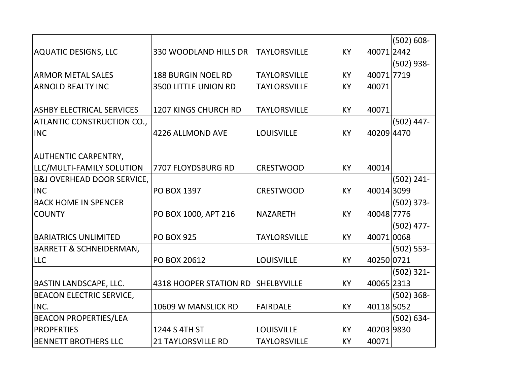|                                       |                             |                     |           |            | $(502) 608 -$ |
|---------------------------------------|-----------------------------|---------------------|-----------|------------|---------------|
| <b>AQUATIC DESIGNS, LLC</b>           | 330 WOODLAND HILLS DR       | <b>TAYLORSVILLE</b> | KY        | 40071 2442 |               |
|                                       |                             |                     |           |            | $(502)$ 938-  |
| <b>ARMOR METAL SALES</b>              | <b>188 BURGIN NOEL RD</b>   | <b>TAYLORSVILLE</b> | KY        | 40071 7719 |               |
| <b>ARNOLD REALTY INC</b>              | 3500 LITTLE UNION RD        | <b>TAYLORSVILLE</b> | <b>KY</b> | 40071      |               |
|                                       |                             |                     |           |            |               |
| <b>ASHBY ELECTRICAL SERVICES</b>      | <b>1207 KINGS CHURCH RD</b> | <b>TAYLORSVILLE</b> | KY        | 40071      |               |
| <b>ATLANTIC CONSTRUCTION CO.,</b>     |                             |                     |           |            | $(502)$ 447-  |
| <b>INC</b>                            | 4226 ALLMOND AVE            | <b>LOUISVILLE</b>   | KY        | 40209 4470 |               |
|                                       |                             |                     |           |            |               |
| <b>AUTHENTIC CARPENTRY,</b>           |                             |                     |           |            |               |
| LLC/MULTI-FAMILY SOLUTION             | 7707 FLOYDSBURG RD          | <b>CRESTWOOD</b>    | <b>KY</b> | 40014      |               |
| <b>B&amp;J OVERHEAD DOOR SERVICE,</b> |                             |                     |           |            | $(502) 241 -$ |
| <b>INC</b>                            | <b>PO BOX 1397</b>          | <b>CRESTWOOD</b>    | <b>KY</b> | 40014 3099 |               |
| <b>BACK HOME IN SPENCER</b>           |                             |                     |           |            | $(502)$ 373-  |
| <b>COUNTY</b>                         | PO BOX 1000, APT 216        | <b>NAZARETH</b>     | KY        | 40048 7776 |               |
|                                       |                             |                     |           |            | $(502)$ 477-  |
| <b>BARIATRICS UNLIMITED</b>           | <b>PO BOX 925</b>           | <b>TAYLORSVILLE</b> | KY        | 40071 0068 |               |
| <b>BARRETT &amp; SCHNEIDERMAN,</b>    |                             |                     |           |            | $(502) 553 -$ |
| <b>LLC</b>                            | PO BOX 20612                | <b>LOUISVILLE</b>   | KY        | 40250 0721 |               |
|                                       |                             |                     |           |            | $(502)$ 321-  |
| <b>BASTIN LANDSCAPE, LLC.</b>         | 4318 HOOPER STATION RD      | SHELBYVILLE         | KY        | 40065 2313 |               |
| <b>BEACON ELECTRIC SERVICE,</b>       |                             |                     |           |            | $(502)$ 368-  |
| INC.                                  | 10609 W MANSLICK RD         | FAIRDALE            | <b>KY</b> | 40118 5052 |               |
| <b>BEACON PROPERTIES/LEA</b>          |                             |                     |           |            | $(502) 634 -$ |
| <b>PROPERTIES</b>                     | 1244 S 4TH ST               | <b>LOUISVILLE</b>   | KY        | 40203 9830 |               |
| <b>BENNETT BROTHERS LLC</b>           | <b>21 TAYLORSVILLE RD</b>   | <b>TAYLORSVILLE</b> | <b>KY</b> | 40071      |               |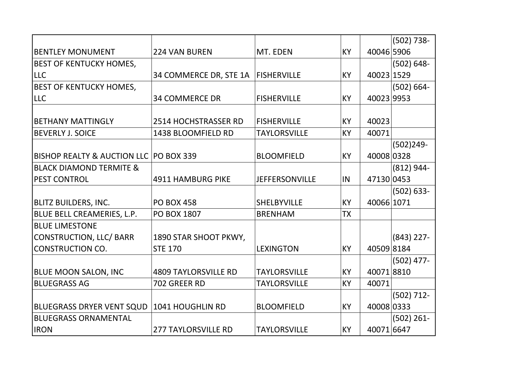|                                          |                             |                       |           |            | $(502) 738 -$ |
|------------------------------------------|-----------------------------|-----------------------|-----------|------------|---------------|
| <b>BENTLEY MONUMENT</b>                  | <b>224 VAN BUREN</b>        | MT. EDEN              | KY        | 40046 5906 |               |
| <b>BEST OF KENTUCKY HOMES,</b>           |                             |                       |           |            | $(502) 648 -$ |
| <b>LLC</b>                               | 34 COMMERCE DR, STE 1A      | <b>FISHERVILLE</b>    | <b>KY</b> | 40023 1529 |               |
| <b>BEST OF KENTUCKY HOMES,</b>           |                             |                       |           |            | $(502) 664 -$ |
| <b>LLC</b>                               | <b>34 COMMERCE DR</b>       | <b>FISHERVILLE</b>    | KY        | 40023 9953 |               |
|                                          |                             |                       |           |            |               |
| <b>BETHANY MATTINGLY</b>                 | 2514 HOCHSTRASSER RD        | <b>FISHERVILLE</b>    | KY        | 40023      |               |
| <b>BEVERLY J. SOICE</b>                  | 1438 BLOOMFIELD RD          | <b>TAYLORSVILLE</b>   | KY        | 40071      |               |
|                                          |                             |                       |           |            | $(502)249-$   |
| BISHOP REALTY & AUCTION LLC   PO BOX 339 |                             | <b>BLOOMFIELD</b>     | KY        | 40008 0328 |               |
| <b>BLACK DIAMOND TERMITE &amp;</b>       |                             |                       |           |            | $(812) 944 -$ |
| <b>PEST CONTROL</b>                      | <b>4911 HAMBURG PIKE</b>    | <b>JEFFERSONVILLE</b> | IN        | 47130 0453 |               |
|                                          |                             |                       |           |            | $(502) 633 -$ |
| <b>BLITZ BUILDERS, INC.</b>              | <b>PO BOX 458</b>           | <b>SHELBYVILLE</b>    | KY        | 40066 1071 |               |
| BLUE BELL CREAMERIES, L.P.               | <b>PO BOX 1807</b>          | <b>BRENHAM</b>        | <b>TX</b> |            |               |
| <b>BLUE LIMESTONE</b>                    |                             |                       |           |            |               |
| CONSTRUCTION, LLC/ BARR                  | 1890 STAR SHOOT PKWY,       |                       |           |            | $(843)$ 227-  |
| <b>CONSTRUCTION CO.</b>                  | <b>STE 170</b>              | <b>LEXINGTON</b>      | KY        | 405098184  |               |
|                                          |                             |                       |           |            | $(502)$ 477-  |
| <b>BLUE MOON SALON, INC</b>              | <b>4809 TAYLORSVILLE RD</b> | <b>TAYLORSVILLE</b>   | KY        | 400718810  |               |
| <b>BLUEGRASS AG</b>                      | 702 GREER RD                | <b>TAYLORSVILLE</b>   | KY        | 40071      |               |
|                                          |                             |                       |           |            | $(502) 712 -$ |
| <b>BLUEGRASS DRYER VENT SQUD</b>         | 1041 HOUGHLIN RD            | <b>BLOOMFIELD</b>     | <b>KY</b> | 40008 0333 |               |
| <b>BLUEGRASS ORNAMENTAL</b>              |                             |                       |           |            | $(502)$ 261-  |
| <b>IRON</b>                              | <b>277 TAYLORSVILLE RD</b>  | <b>TAYLORSVILLE</b>   | <b>KY</b> | 40071 6647 |               |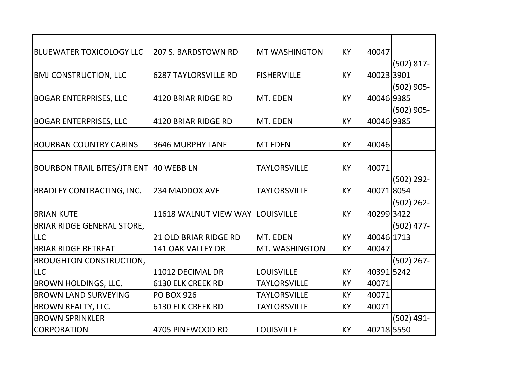| <b>BLUEWATER TOXICOLOGY LLC</b>        | <b>207 S. BARDSTOWN RD</b>  | <b>MT WASHINGTON</b> | <b>KY</b> | 40047      |               |
|----------------------------------------|-----------------------------|----------------------|-----------|------------|---------------|
|                                        |                             |                      |           |            | $(502) 817 -$ |
| <b>BMJ CONSTRUCTION, LLC</b>           | <b>6287 TAYLORSVILLE RD</b> | <b>FISHERVILLE</b>   | KY        | 400233901  |               |
|                                        |                             |                      |           |            | $(502)$ 905-  |
| <b>BOGAR ENTERPRISES, LLC</b>          | 4120 BRIAR RIDGE RD         | MT. EDEN             | KY        | 40046 9385 |               |
|                                        |                             |                      |           |            | $(502)$ 905-  |
| <b>BOGAR ENTERPRISES, LLC</b>          | 4120 BRIAR RIDGE RD         | MT. EDEN             | <b>KY</b> | 40046 9385 |               |
|                                        |                             |                      |           |            |               |
| <b>BOURBAN COUNTRY CABINS</b>          | <b>3646 MURPHY LANE</b>     | <b>MT EDEN</b>       | <b>KY</b> | 40046      |               |
|                                        |                             |                      |           |            |               |
| BOURBON TRAIL BITES/JTR ENT 40 WEBB LN |                             | <b>TAYLORSVILLE</b>  | KY        | 40071      |               |
|                                        |                             |                      |           |            | $(502)$ 292-  |
| <b>BRADLEY CONTRACTING, INC.</b>       | 234 MADDOX AVE              | <b>TAYLORSVILLE</b>  | KY        | 400718054  |               |
|                                        |                             |                      |           |            | $(502)$ 262-  |
| <b>BRIAN KUTE</b>                      | 11618 WALNUT VIEW WAY       | <b>LOUISVILLE</b>    | KY        | 402993422  |               |
| <b>BRIAR RIDGE GENERAL STORE,</b>      |                             |                      |           |            | $(502)$ 477-  |
| <b>LLC</b>                             | 21 OLD BRIAR RIDGE RD       | MT. EDEN             | <b>KY</b> | 40046 1713 |               |
| <b>BRIAR RIDGE RETREAT</b>             | 141 OAK VALLEY DR           | MT. WASHINGTON       | KY        | 40047      |               |
| <b>BROUGHTON CONSTRUCTION,</b>         |                             |                      |           |            | $(502)$ 267-  |
| <b>LLC</b>                             | 11012 DECIMAL DR            | <b>LOUISVILLE</b>    | <b>KY</b> | 40391 5242 |               |
| <b>BROWN HOLDINGS, LLC.</b>            | <b>6130 ELK CREEK RD</b>    | <b>TAYLORSVILLE</b>  | <b>KY</b> | 40071      |               |
| <b>BROWN LAND SURVEYING</b>            | <b>PO BOX 926</b>           | <b>TAYLORSVILLE</b>  | <b>KY</b> | 40071      |               |
| <b>BROWN REALTY, LLC.</b>              | <b>6130 ELK CREEK RD</b>    | <b>TAYLORSVILLE</b>  | KY        | 40071      |               |
| <b>BROWN SPRINKLER</b>                 |                             |                      |           |            | $(502)$ 491-  |
| CORPORATION                            | 4705 PINEWOOD RD            | <b>LOUISVILLE</b>    | <b>KY</b> | 40218 5550 |               |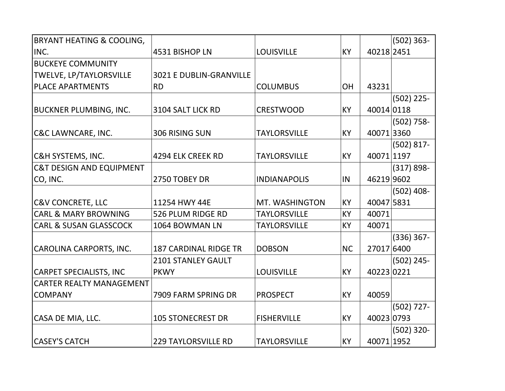| <b>BRYANT HEATING &amp; COOLING,</b> |                                |                     |           |            | $(502) 363 -$ |
|--------------------------------------|--------------------------------|---------------------|-----------|------------|---------------|
| INC.                                 | 4531 BISHOP LN                 | <b>LOUISVILLE</b>   | KY        | 40218 2451 |               |
| <b>BUCKEYE COMMUNITY</b>             |                                |                     |           |            |               |
| TWELVE, LP/TAYLORSVILLE              | <b>3021 E DUBLIN-GRANVILLE</b> |                     |           |            |               |
| <b>PLACE APARTMENTS</b>              | <b>RD</b>                      | <b>COLUMBUS</b>     | <b>OH</b> | 43231      |               |
|                                      |                                |                     |           |            | $(502)$ 225-  |
| <b>BUCKNER PLUMBING, INC.</b>        | 3104 SALT LICK RD              | <b>CRESTWOOD</b>    | <b>KY</b> | 40014 0118 |               |
|                                      |                                |                     |           |            | $(502)$ 758-  |
| <b>C&amp;C LAWNCARE, INC.</b>        | 306 RISING SUN                 | <b>TAYLORSVILLE</b> | <b>KY</b> | 400713360  |               |
|                                      |                                |                     |           |            | $(502) 817 -$ |
| <b>C&amp;H SYSTEMS, INC.</b>         | 4294 ELK CREEK RD              | <b>TAYLORSVILLE</b> | KY        | 40071 1197 |               |
| <b>C&amp;T DESIGN AND EQUIPMENT</b>  |                                |                     |           |            | $(317) 898 -$ |
| CO, INC.                             | 2750 TOBEY DR                  | <b>INDIANAPOLIS</b> | IN        | 46219 9602 |               |
|                                      |                                |                     |           |            | $(502)$ 408-  |
| <b>C&amp;V CONCRETE, LLC</b>         | 11254 HWY 44E                  | MT. WASHINGTON      | KY        | 40047 5831 |               |
| <b>CARL &amp; MARY BROWNING</b>      | 526 PLUM RIDGE RD              | <b>TAYLORSVILLE</b> | KY        | 40071      |               |
| <b>CARL &amp; SUSAN GLASSCOCK</b>    | 1064 BOWMAN LN                 | <b>TAYLORSVILLE</b> | KY        | 40071      |               |
|                                      |                                |                     |           |            | $(336) 367 -$ |
| CAROLINA CARPORTS, INC.              | <b>187 CARDINAL RIDGE TR</b>   | <b>DOBSON</b>       | <b>NC</b> | 27017 6400 |               |
|                                      | 2101 STANLEY GAULT             |                     |           |            | $(502)$ 245-  |
| <b>CARPET SPECIALISTS, INC</b>       | <b>PKWY</b>                    | <b>LOUISVILLE</b>   | <b>KY</b> | 40223 0221 |               |
| <b>CARTER REALTY MANAGEMENT</b>      |                                |                     |           |            |               |
| <b>COMPANY</b>                       | 7909 FARM SPRING DR            | <b>PROSPECT</b>     | KY        | 40059      |               |
|                                      |                                |                     |           |            | $(502)$ 727-  |
| CASA DE MIA, LLC.                    | <b>105 STONECREST DR</b>       | <b>FISHERVILLE</b>  | KY        | 40023 0793 |               |
|                                      |                                |                     |           |            | $(502)$ 320-  |
| <b>CASEY'S CATCH</b>                 | <b>229 TAYLORSVILLE RD</b>     | <b>TAYLORSVILLE</b> | KY        | 40071 1952 |               |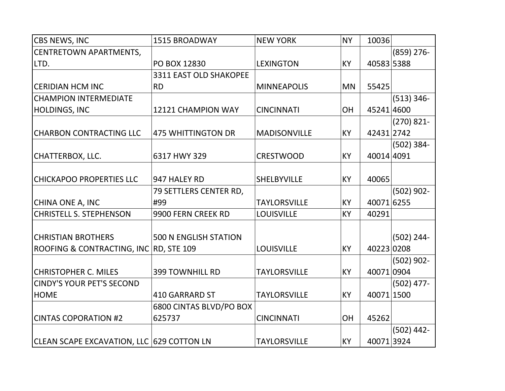| <b>CBS NEWS, INC</b>                      | 1515 BROADWAY                | <b>NEW YORK</b>     | <b>NY</b> | 10036      |               |
|-------------------------------------------|------------------------------|---------------------|-----------|------------|---------------|
| CENTRETOWN APARTMENTS,                    |                              |                     |           |            | (859) 276-    |
| LTD.                                      | PO BOX 12830                 | <b>LEXINGTON</b>    | <b>KY</b> | 40583 5388 |               |
|                                           | 3311 EAST OLD SHAKOPEE       |                     |           |            |               |
| <b>CERIDIAN HCM INC</b>                   | <b>RD</b>                    | <b>MINNEAPOLIS</b>  | <b>MN</b> | 55425      |               |
| <b>CHAMPION INTERMEDIATE</b>              |                              |                     |           |            | $(513) 346 -$ |
| <b>HOLDINGS, INC</b>                      | 12121 CHAMPION WAY           | <b>CINCINNATI</b>   | OH        | 45241 4600 |               |
|                                           |                              |                     |           |            | $(270) 821 -$ |
| <b>CHARBON CONTRACTING LLC</b>            | <b>475 WHITTINGTON DR</b>    | <b>MADISONVILLE</b> | KY        | 42431 2742 |               |
|                                           |                              |                     |           |            | $(502)$ 384-  |
| CHATTERBOX, LLC.                          | 6317 HWY 329                 | <b>CRESTWOOD</b>    | <b>KY</b> | 40014 4091 |               |
|                                           |                              |                     |           |            |               |
| <b>CHICKAPOO PROPERTIES LLC</b>           | 947 HALEY RD                 | <b>SHELBYVILLE</b>  | KY        | 40065      |               |
|                                           | 79 SETTLERS CENTER RD,       |                     |           |            | $(502)$ 902-  |
| CHINA ONE A, INC                          | #99                          | <b>TAYLORSVILLE</b> | KY        | 40071 6255 |               |
| <b>CHRISTELL S. STEPHENSON</b>            | 9900 FERN CREEK RD           | <b>LOUISVILLE</b>   | KY        | 40291      |               |
|                                           |                              |                     |           |            |               |
| <b>CHRISTIAN BROTHERS</b>                 | <b>500 N ENGLISH STATION</b> |                     |           |            | $(502) 244 -$ |
| <b>ROOFING &amp; CONTRACTING, INC</b>     | <b>RD, STE 109</b>           | <b>LOUISVILLE</b>   | <b>KY</b> | 40223 0208 |               |
|                                           |                              |                     |           |            | $(502)$ 902-  |
| <b>CHRISTOPHER C. MILES</b>               | <b>399 TOWNHILL RD</b>       | <b>TAYLORSVILLE</b> | <b>KY</b> | 400710904  |               |
| <b>CINDY'S YOUR PET'S SECOND</b>          |                              |                     |           |            | $(502)$ 477-  |
| <b>HOME</b>                               | <b>410 GARRARD ST</b>        | <b>TAYLORSVILLE</b> | KY        | 40071 1500 |               |
|                                           | 6800 CINTAS BLVD/PO BOX      |                     |           |            |               |
| <b>CINTAS COPORATION #2</b>               | 625737                       | <b>CINCINNATI</b>   | OH        | 45262      |               |
|                                           |                              |                     |           |            | $(502)$ 442-  |
| CLEAN SCAPE EXCAVATION, LLC 629 COTTON LN |                              | <b>TAYLORSVILLE</b> | KY        | 40071 3924 |               |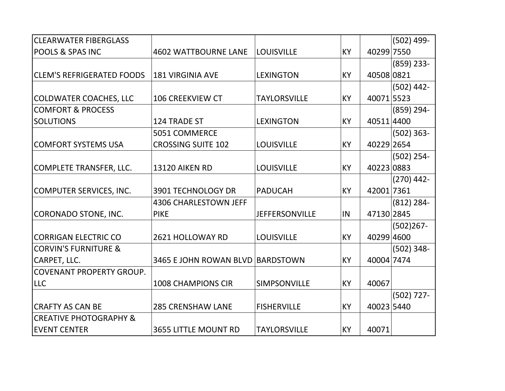| <b>CLEARWATER FIBERGLASS</b>      |                              |                       |           |            | $(502)$ 499-  |
|-----------------------------------|------------------------------|-----------------------|-----------|------------|---------------|
| <b>POOLS &amp; SPAS INC</b>       | <b>4602 WATTBOURNE LANE</b>  | <b>LOUISVILLE</b>     | <b>KY</b> | 40299 7550 |               |
|                                   |                              |                       |           |            | $(859)$ 233-  |
| <b>CLEM'S REFRIGERATED FOODS</b>  | <b>181 VIRGINIA AVE</b>      | <b>LEXINGTON</b>      | <b>KY</b> | 40508 0821 |               |
|                                   |                              |                       |           |            | $(502)$ 442-  |
| COLDWATER COACHES, LLC            | <b>106 CREEKVIEW CT</b>      | <b>TAYLORSVILLE</b>   | <b>KY</b> | 40071 5523 |               |
| <b>COMFORT &amp; PROCESS</b>      |                              |                       |           |            | $(859)$ 294-  |
| <b>SOLUTIONS</b>                  | 124 TRADE ST                 | <b>LEXINGTON</b>      | <b>KY</b> | 40511 4400 |               |
|                                   | 5051 COMMERCE                |                       |           |            | $(502) 363 -$ |
| <b>COMFORT SYSTEMS USA</b>        | <b>CROSSING SUITE 102</b>    | <b>LOUISVILLE</b>     | <b>KY</b> | 40229 2654 |               |
|                                   |                              |                       |           |            | $(502)$ 254-  |
| COMPLETE TRANSFER, LLC.           | <b>13120 AIKEN RD</b>        | <b>LOUISVILLE</b>     | KY        | 40223 0883 |               |
|                                   |                              |                       |           |            | $(270)$ 442-  |
| COMPUTER SERVICES, INC.           | 3901 TECHNOLOGY DR           | <b>PADUCAH</b>        | <b>KY</b> | 42001 7361 |               |
|                                   | <b>4306 CHARLESTOWN JEFF</b> |                       |           |            | $(812) 284 -$ |
| CORONADO STONE, INC.              | <b>PIKE</b>                  | <b>JEFFERSONVILLE</b> | IN        | 47130 2845 |               |
|                                   |                              |                       |           |            | $(502)267 -$  |
| <b>CORRIGAN ELECTRIC CO</b>       | 2621 HOLLOWAY RD             | <b>LOUISVILLE</b>     | KY        | 40299 4600 |               |
| <b>CORVIN'S FURNITURE &amp;</b>   |                              |                       |           |            | $(502)$ 348-  |
| CARPET, LLC.                      | 3465 E JOHN ROWAN BLVD       | BARDSTOWN             | <b>KY</b> | 40004 7474 |               |
| <b>COVENANT PROPERTY GROUP.</b>   |                              |                       |           |            |               |
| <b>LLC</b>                        | <b>1008 CHAMPIONS CIR</b>    | SIMPSONVILLE          | <b>KY</b> | 40067      |               |
|                                   |                              |                       |           |            | $(502)$ 727-  |
| <b>CRAFTY AS CAN BE</b>           | <b>285 CRENSHAW LANE</b>     | <b>FISHERVILLE</b>    | <b>KY</b> | 40023 5440 |               |
| <b>CREATIVE PHOTOGRAPHY &amp;</b> |                              |                       |           |            |               |
| <b>IEVENT CENTER</b>              | <b>3655 LITTLE MOUNT RD</b>  | <b>TAYLORSVILLE</b>   | <b>KY</b> | 40071      |               |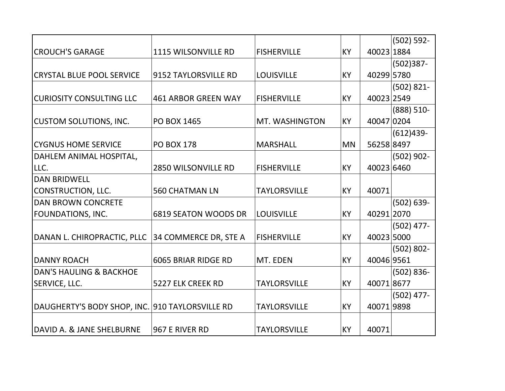|                                                 |                             |                     |           |            | $(502) 592 -$ |
|-------------------------------------------------|-----------------------------|---------------------|-----------|------------|---------------|
| <b>CROUCH'S GARAGE</b>                          | <b>1115 WILSONVILLE RD</b>  | <b>FISHERVILLE</b>  | KY        | 40023 1884 |               |
|                                                 |                             |                     |           |            | $(502)387 -$  |
| <b>CRYSTAL BLUE POOL SERVICE</b>                | 9152 TAYLORSVILLE RD        | <b>LOUISVILLE</b>   | <b>KY</b> | 40299 5780 |               |
|                                                 |                             |                     |           |            | $(502) 821 -$ |
| <b>CURIOSITY CONSULTING LLC</b>                 | <b>461 ARBOR GREEN WAY</b>  | <b>FISHERVILLE</b>  | KY        | 40023 2549 |               |
|                                                 |                             |                     |           |            | $(888) 510 -$ |
| <b>CUSTOM SOLUTIONS, INC.</b>                   | <b>PO BOX 1465</b>          | MT. WASHINGTON      | KY        | 40047 0204 |               |
|                                                 |                             |                     |           |            | $(612)439-$   |
| <b>CYGNUS HOME SERVICE</b>                      | <b>PO BOX 178</b>           | <b>MARSHALL</b>     | <b>MN</b> | 56258 8497 |               |
| DAHLEM ANIMAL HOSPITAL,                         |                             |                     |           |            | $(502)$ 902-  |
| LLC.                                            | 2850 WILSONVILLE RD         | <b>FISHERVILLE</b>  | KY        | 40023 6460 |               |
| <b>DAN BRIDWELL</b>                             |                             |                     |           |            |               |
| <b>CONSTRUCTION, LLC.</b>                       | <b>560 CHATMAN LN</b>       | <b>TAYLORSVILLE</b> | <b>KY</b> | 40071      |               |
| <b>DAN BROWN CONCRETE</b>                       |                             |                     |           |            | $(502) 639 -$ |
| <b>FOUNDATIONS, INC.</b>                        | <b>6819 SEATON WOODS DR</b> | <b>LOUISVILLE</b>   | <b>KY</b> | 40291 2070 |               |
|                                                 |                             |                     |           |            | $(502)$ 477-  |
| DANAN L. CHIROPRACTIC, PLLC                     | 34 COMMERCE DR, STE A       | <b>FISHERVILLE</b>  | KY        | 40023 5000 |               |
|                                                 |                             |                     |           |            | $(502) 802 -$ |
| <b>DANNY ROACH</b>                              | <b>6065 BRIAR RIDGE RD</b>  | MT. EDEN            | <b>KY</b> | 40046 9561 |               |
| <b>DAN'S HAULING &amp; BACKHOE</b>              |                             |                     |           |            | $(502) 836 -$ |
| SERVICE, LLC.                                   | 5227 ELK CREEK RD           | <b>TAYLORSVILLE</b> | KY        | 400718677  |               |
|                                                 |                             |                     |           |            | $(502)$ 477-  |
| DAUGHERTY'S BODY SHOP, INC. 910 TAYLORSVILLE RD |                             | <b>TAYLORSVILLE</b> | <b>KY</b> | 400719898  |               |
|                                                 |                             |                     |           |            |               |
| DAVID A. & JANE SHELBURNE                       | 967 E RIVER RD              | <b>TAYLORSVILLE</b> | <b>KY</b> | 40071      |               |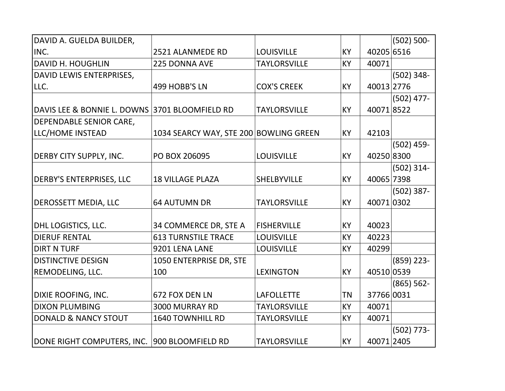| DAVID A. GUELDA BUILDER,                       |                                        |                     |    |            | $(502) 500 -$ |
|------------------------------------------------|----------------------------------------|---------------------|----|------------|---------------|
| INC.                                           | 2521 ALANMEDE RD                       | <b>LOUISVILLE</b>   | KY | 40205 6516 |               |
| <b>DAVID H. HOUGHLIN</b>                       | 225 DONNA AVE                          | <b>TAYLORSVILLE</b> | KY | 40071      |               |
| DAVID LEWIS ENTERPRISES,                       |                                        |                     |    |            | $(502)$ 348-  |
| LLC.                                           | 499 HOBB'S LN                          | <b>COX'S CREEK</b>  | KY | 40013 2776 |               |
|                                                |                                        |                     |    |            | $(502)$ 477-  |
| DAVIS LEE & BONNIE L. DOWNS 3701 BLOOMFIELD RD |                                        | <b>TAYLORSVILLE</b> | KY | 400718522  |               |
| DEPENDABLE SENIOR CARE,                        |                                        |                     |    |            |               |
| LLC/HOME INSTEAD                               | 1034 SEARCY WAY, STE 200 BOWLING GREEN |                     | KY | 42103      |               |
|                                                |                                        |                     |    |            | $(502)$ 459-  |
| <b>DERBY CITY SUPPLY, INC.</b>                 | PO BOX 206095                          | <b>LOUISVILLE</b>   | KY | 40250 8300 |               |
|                                                |                                        |                     |    |            | $(502)$ 314-  |
| DERBY'S ENTERPRISES, LLC                       | <b>18 VILLAGE PLAZA</b>                | <b>SHELBYVILLE</b>  | KY | 40065 7398 |               |
|                                                |                                        |                     |    |            | $(502)$ 387-  |
| <b>DEROSSETT MEDIA, LLC</b>                    | <b>64 AUTUMN DR</b>                    | <b>TAYLORSVILLE</b> | KY | 400710302  |               |
|                                                |                                        |                     |    |            |               |
| DHL LOGISTICS, LLC.                            | 34 COMMERCE DR, STE A                  | <b>FISHERVILLE</b>  | KY | 40023      |               |
| <b>DIERUF RENTAL</b>                           | <b>613 TURNSTILE TRACE</b>             | <b>LOUISVILLE</b>   | KY | 40223      |               |
| <b>DIRT N TURF</b>                             | 9201 LENA LANE                         | <b>LOUISVILLE</b>   | KY | 40299      |               |
| <b>DISTINCTIVE DESIGN</b>                      | 1050 ENTERPRISE DR, STE                |                     |    |            | $(859)$ 223-  |
| REMODELING, LLC.                               | 100                                    | <b>LEXINGTON</b>    | KY | 40510 0539 |               |
|                                                |                                        |                     |    |            | $(865) 562 -$ |
| <b>DIXIE ROOFING, INC.</b>                     | 672 FOX DEN LN                         | <b>LAFOLLETTE</b>   | ΤN | 37766 0031 |               |
| <b>DIXON PLUMBING</b>                          | 3000 MURRAY RD                         | <b>TAYLORSVILLE</b> | KY | 40071      |               |
| <b>DONALD &amp; NANCY STOUT</b>                | 1640 TOWNHILL RD                       | <b>TAYLORSVILLE</b> | KY | 40071      |               |
|                                                |                                        |                     |    |            | $(502)$ 773-  |
| DONE RIGHT COMPUTERS, INC.                     | 900 BLOOMFIELD RD                      | <b>TAYLORSVILLE</b> | KY | 40071 2405 |               |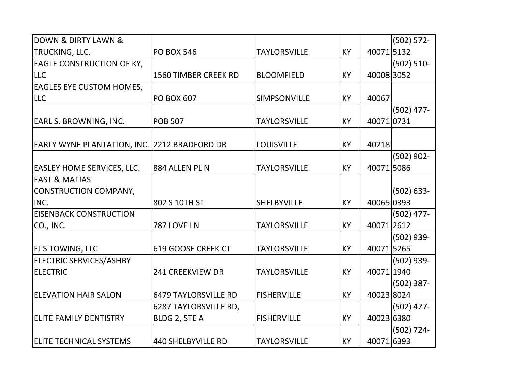| <b>DOWN &amp; DIRTY LAWN &amp;</b>           |                             |                     |           |            | $(502) 572 -$ |
|----------------------------------------------|-----------------------------|---------------------|-----------|------------|---------------|
| TRUCKING, LLC.                               | <b>PO BOX 546</b>           | <b>TAYLORSVILLE</b> | <b>KY</b> | 400715132  |               |
| <b>EAGLE CONSTRUCTION OF KY,</b>             |                             |                     |           |            | $(502) 510 -$ |
| <b>LLC</b>                                   | 1560 TIMBER CREEK RD        | <b>BLOOMFIELD</b>   | <b>KY</b> | 40008 3052 |               |
| <b>EAGLES EYE CUSTOM HOMES,</b>              |                             |                     |           |            |               |
| <b>LLC</b>                                   | <b>PO BOX 607</b>           | SIMPSONVILLE        | <b>KY</b> | 40067      |               |
|                                              |                             |                     |           |            | $(502)$ 477-  |
| <b>EARL S. BROWNING, INC.</b>                | <b>POB 507</b>              | <b>TAYLORSVILLE</b> | <b>KY</b> | 400710731  |               |
| EARLY WYNE PLANTATION, INC. 2212 BRADFORD DR |                             | <b>LOUISVILLE</b>   | <b>KY</b> | 40218      |               |
|                                              |                             |                     |           |            | $(502)$ 902-  |
| <b>EASLEY HOME SERVICES, LLC.</b>            | 884 ALLEN PL N              | <b>TAYLORSVILLE</b> | <b>KY</b> | 400715086  |               |
| <b>EAST &amp; MATIAS</b>                     |                             |                     |           |            |               |
| CONSTRUCTION COMPANY,                        |                             |                     |           |            | $(502) 633 -$ |
| INC.                                         | 802 S 10TH ST               | <b>SHELBYVILLE</b>  | <b>KY</b> | 40065 0393 |               |
| <b>EISENBACK CONSTRUCTION</b>                |                             |                     |           |            | $(502)$ 477-  |
| CO., INC.                                    | 787 LOVE LN                 | <b>TAYLORSVILLE</b> | <b>KY</b> | 400712612  |               |
|                                              |                             |                     |           |            | (502) 939-    |
| <b>EJ'S TOWING, LLC</b>                      | 619 GOOSE CREEK CT          | <b>TAYLORSVILLE</b> | <b>KY</b> | 40071 5265 |               |
| <b>ELECTRIC SERVICES/ASHBY</b>               |                             |                     |           |            | $(502)$ 939-  |
| <b>ELECTRIC</b>                              | 241 CREEKVIEW DR            | <b>TAYLORSVILLE</b> | <b>KY</b> | 40071 1940 |               |
|                                              |                             |                     |           |            | $(502)$ 387-  |
| <b>ELEVATION HAIR SALON</b>                  | <b>6479 TAYLORSVILLE RD</b> | <b>FISHERVILLE</b>  | <b>KY</b> | 40023 8024 |               |
|                                              | 6287 TAYLORSVILLE RD,       |                     |           |            | $(502)$ 477-  |
| <b>ELITE FAMILY DENTISTRY</b>                | BLDG 2, STE A               | <b>FISHERVILLE</b>  | <b>KY</b> | 40023 6380 |               |
|                                              |                             |                     |           |            | $(502)$ 724-  |
| <b>ELITE TECHNICAL SYSTEMS</b>               | <b>440 SHELBYVILLE RD</b>   | <b>TAYLORSVILLE</b> | <b>KY</b> | 40071 6393 |               |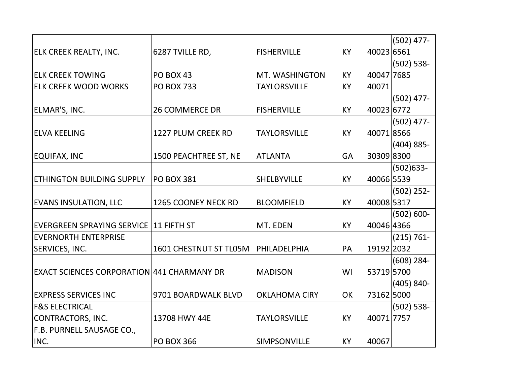|                                                   |                        |                      |           |            | $(502)$ 477-  |
|---------------------------------------------------|------------------------|----------------------|-----------|------------|---------------|
| <b>ELK CREEK REALTY, INC.</b>                     | 6287 TVILLE RD,        | <b>FISHERVILLE</b>   | KY        | 40023 6561 |               |
|                                                   |                        |                      |           |            | $(502) 538 -$ |
| <b>ELK CREEK TOWING</b>                           | <b>PO BOX 43</b>       | MT. WASHINGTON       | KY        | 40047 7685 |               |
| <b>ELK CREEK WOOD WORKS</b>                       | <b>PO BOX 733</b>      | <b>TAYLORSVILLE</b>  | KY        | 40071      |               |
|                                                   |                        |                      |           |            | $(502)$ 477-  |
| ELMAR'S, INC.                                     | <b>26 COMMERCE DR</b>  | <b>FISHERVILLE</b>   | <b>KY</b> | 40023 6772 |               |
|                                                   |                        |                      |           |            | $(502)$ 477-  |
| <b>ELVA KEELING</b>                               | 1227 PLUM CREEK RD     | <b>TAYLORSVILLE</b>  | <b>KY</b> | 400718566  |               |
|                                                   |                        |                      |           |            | $(404) 885 -$ |
| <b>EQUIFAX, INC</b>                               | 1500 PEACHTREE ST, NE  | <b>ATLANTA</b>       | GA        | 30309 8300 |               |
|                                                   |                        |                      |           |            | $(502)633 -$  |
| <b>ETHINGTON BUILDING SUPPLY</b>                  | <b>PO BOX 381</b>      | <b>SHELBYVILLE</b>   | KY        | 40066 5539 |               |
|                                                   |                        |                      |           |            | $(502)$ 252-  |
| <b>EVANS INSULATION, LLC</b>                      | 1265 COONEY NECK RD    | <b>BLOOMFIELD</b>    | KY        | 40008 5317 |               |
|                                                   |                        |                      |           |            | $(502) 600 -$ |
| EVERGREEN SPRAYING SERVICE 11 FIFTH ST            |                        | MT. EDEN             | <b>KY</b> | 40046 4366 |               |
| <b>EVERNORTH ENTERPRISE</b>                       |                        |                      |           |            | $(215) 761 -$ |
| <b>SERVICES, INC.</b>                             | 1601 CHESTNUT ST TL05M | PHILADELPHIA         | PA        | 19192 2032 |               |
|                                                   |                        |                      |           |            | $(608)$ 284-  |
| <b>EXACT SCIENCES CORPORATION 441 CHARMANY DR</b> |                        | <b>MADISON</b>       | WI        | 53719 5700 |               |
|                                                   |                        |                      |           |            | $(405) 840 -$ |
| <b>IEXPRESS SERVICES INC</b>                      | 9701 BOARDWALK BLVD    | <b>OKLAHOMA CIRY</b> | OK        | 73162 5000 |               |
| <b>F&amp;S ELECTRICAL</b>                         |                        |                      |           |            | $(502) 538 -$ |
| CONTRACTORS, INC.                                 | 13708 HWY 44E          | <b>TAYLORSVILLE</b>  | KY        | 40071 7757 |               |
| F.B. PURNELL SAUSAGE CO.,                         |                        |                      |           |            |               |
| INC.                                              | <b>PO BOX 366</b>      | SIMPSONVILLE         | KY        | 40067      |               |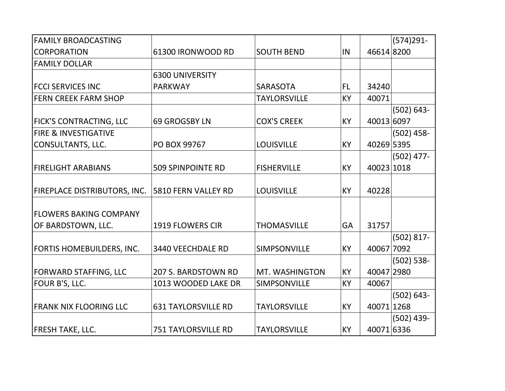| <b>FAMILY BROADCASTING</b>          |                            |                     |           |            | $(574)291 -$  |
|-------------------------------------|----------------------------|---------------------|-----------|------------|---------------|
| <b>CORPORATION</b>                  | 61300 IRONWOOD RD          | <b>SOUTH BEND</b>   | IN        | 46614 8200 |               |
| <b>FAMILY DOLLAR</b>                |                            |                     |           |            |               |
|                                     | <b>6300 UNIVERSITY</b>     |                     |           |            |               |
| <b>FCCI SERVICES INC</b>            | <b>PARKWAY</b>             | <b>SARASOTA</b>     | FL        | 34240      |               |
| <b>FERN CREEK FARM SHOP</b>         |                            | <b>TAYLORSVILLE</b> | <b>KY</b> | 40071      |               |
|                                     |                            |                     |           |            | $(502) 643 -$ |
| <b>FICK'S CONTRACTING, LLC</b>      | <b>69 GROGSBY LN</b>       | <b>COX'S CREEK</b>  | KY        | 40013 6097 |               |
| <b>FIRE &amp; INVESTIGATIVE</b>     |                            |                     |           |            | $(502)$ 458-  |
| CONSULTANTS, LLC.                   | PO BOX 99767               | <b>LOUISVILLE</b>   | <b>KY</b> | 40269 5395 |               |
|                                     |                            |                     |           |            | $(502)$ 477-  |
| <b>FIRELIGHT ARABIANS</b>           | <b>509 SPINPOINTE RD</b>   | <b>FISHERVILLE</b>  | <b>KY</b> | 40023 1018 |               |
|                                     |                            |                     |           |            |               |
| <b>FIREPLACE DISTRIBUTORS, INC.</b> | 5810 FERN VALLEY RD        | <b>LOUISVILLE</b>   | <b>KY</b> | 40228      |               |
|                                     |                            |                     |           |            |               |
| <b>FLOWERS BAKING COMPANY</b>       |                            |                     |           |            |               |
| OF BARDSTOWN, LLC.                  | 1919 FLOWERS CIR           | <b>THOMASVILLE</b>  | GA        | 31757      |               |
|                                     |                            |                     |           |            | $(502) 817 -$ |
| <b>FORTIS HOMEBUILDERS, INC.</b>    | 3440 VEECHDALE RD          | SIMPSONVILLE        | KY        | 40067 7092 |               |
|                                     |                            |                     |           |            | $(502) 538 -$ |
| <b>FORWARD STAFFING, LLC</b>        | 207 S. BARDSTOWN RD        | MT. WASHINGTON      | <b>KY</b> | 40047 2980 |               |
| FOUR B'S, LLC.                      | 1013 WOODED LAKE DR        | SIMPSONVILLE        | KY        | 40067      |               |
|                                     |                            |                     |           |            | $(502) 643 -$ |
| <b>FRANK NIX FLOORING LLC</b>       | <b>631 TAYLORSVILLE RD</b> | <b>TAYLORSVILLE</b> | KY        | 40071 1268 |               |
|                                     |                            |                     |           |            | $(502)$ 439-  |
| <b>FRESH TAKE, LLC.</b>             | <b>751 TAYLORSVILLE RD</b> | <b>TAYLORSVILLE</b> | <b>KY</b> | 40071 6336 |               |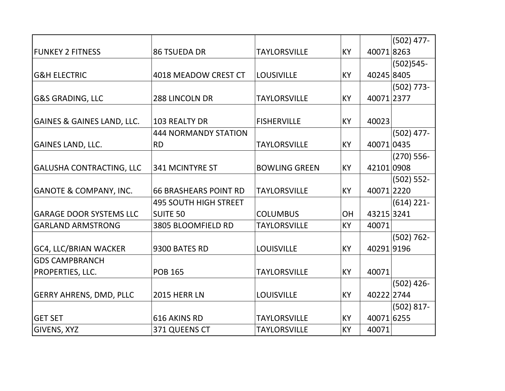|                                   |                              |                      |           |            | $(502)$ 477-  |
|-----------------------------------|------------------------------|----------------------|-----------|------------|---------------|
| <b>FUNKEY 2 FITNESS</b>           | <b>86 TSUEDA DR</b>          | <b>TAYLORSVILLE</b>  | KY        | 400718263  |               |
|                                   |                              |                      |           |            | $(502)$ 545-  |
| <b>G&amp;H ELECTRIC</b>           | 4018 MEADOW CREST CT         | <b>LOUSIVILLE</b>    | <b>KY</b> | 40245 8405 |               |
|                                   |                              |                      |           |            | $(502)$ 773-  |
| <b>G&amp;S GRADING, LLC</b>       | 288 LINCOLN DR               | <b>TAYLORSVILLE</b>  | KY        | 40071 2377 |               |
|                                   |                              |                      |           |            |               |
| GAINES & GAINES LAND, LLC.        | <b>103 REALTY DR</b>         | <b>FISHERVILLE</b>   | KY        | 40023      |               |
|                                   | <b>444 NORMANDY STATION</b>  |                      |           |            | $(502)$ 477-  |
| <b>GAINES LAND, LLC.</b>          | <b>RD</b>                    | <b>TAYLORSVILLE</b>  | KY        | 40071 0435 |               |
|                                   |                              |                      |           |            | $(270)$ 556-  |
| <b>GALUSHA CONTRACTING, LLC</b>   | 341 MCINTYRE ST              | <b>BOWLING GREEN</b> | KY        | 42101 0908 |               |
|                                   |                              |                      |           |            | $(502) 552 -$ |
| <b>GANOTE &amp; COMPANY, INC.</b> | <b>66 BRASHEARS POINT RD</b> | <b>TAYLORSVILLE</b>  | <b>KY</b> | 40071 2220 |               |
|                                   | <b>495 SOUTH HIGH STREET</b> |                      |           |            | $(614)$ 221-  |
| <b>GARAGE DOOR SYSTEMS LLC</b>    | <b>SUITE 50</b>              | <b>COLUMBUS</b>      | <b>OH</b> | 43215 3241 |               |
| <b>GARLAND ARMSTRONG</b>          | 3805 BLOOMFIELD RD           | <b>TAYLORSVILLE</b>  | <b>KY</b> | 40071      |               |
|                                   |                              |                      |           |            | $(502) 762 -$ |
| <b>GC4, LLC/BRIAN WACKER</b>      | 9300 BATES RD                | <b>LOUISVILLE</b>    | KY        | 402919196  |               |
| <b>GDS CAMPBRANCH</b>             |                              |                      |           |            |               |
| PROPERTIES, LLC.                  | <b>POB 165</b>               | <b>TAYLORSVILLE</b>  | KY        | 40071      |               |
|                                   |                              |                      |           |            | $(502)$ 426-  |
| <b>GERRY AHRENS, DMD, PLLC</b>    | <b>2015 HERR LN</b>          | <b>LOUISVILLE</b>    | KY        | 40222 2744 |               |
|                                   |                              |                      |           |            | $(502) 817 -$ |
| <b>GET SET</b>                    | 616 AKINS RD                 | <b>TAYLORSVILLE</b>  | KY        | 40071 6255 |               |
| GIVENS, XYZ                       | 371 QUEENS CT                | <b>TAYLORSVILLE</b>  | KY        | 40071      |               |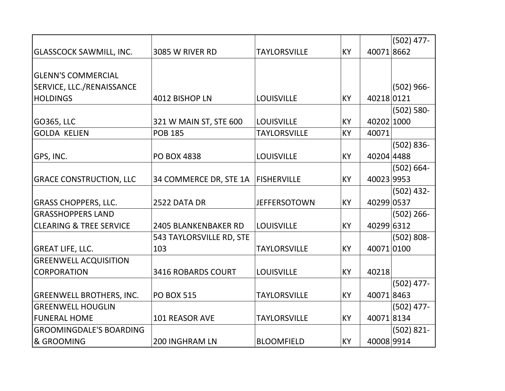|                                    |                             |                     |           |            | $(502)$ 477-  |
|------------------------------------|-----------------------------|---------------------|-----------|------------|---------------|
| <b>GLASSCOCK SAWMILL, INC.</b>     | 3085 W RIVER RD             | <b>TAYLORSVILLE</b> | <b>KY</b> | 400718662  |               |
|                                    |                             |                     |           |            |               |
| <b>GLENN'S COMMERCIAL</b>          |                             |                     |           |            |               |
| <b>SERVICE, LLC./RENAISSANCE</b>   |                             |                     |           |            | $(502)$ 966-  |
| <b>HOLDINGS</b>                    | 4012 BISHOP LN              | <b>LOUISVILLE</b>   | <b>KY</b> | 40218 0121 |               |
|                                    |                             |                     |           |            | $(502) 580 -$ |
| GO365, LLC                         | 321 W MAIN ST, STE 600      | <b>LOUISVILLE</b>   | <b>KY</b> | 40202 1000 |               |
| <b>GOLDA KELIEN</b>                | <b>POB 185</b>              | <b>TAYLORSVILLE</b> | <b>KY</b> | 40071      |               |
|                                    |                             |                     |           |            | $(502) 836 -$ |
| GPS, INC.                          | <b>PO BOX 4838</b>          | <b>LOUISVILLE</b>   | <b>KY</b> | 40204 4488 |               |
|                                    |                             |                     |           |            | $(502) 664 -$ |
| <b>GRACE CONSTRUCTION, LLC</b>     | 34 COMMERCE DR, STE 1A      | <b>FISHERVILLE</b>  | <b>KY</b> | 40023 9953 |               |
|                                    |                             |                     |           |            | $(502)$ 432-  |
| <b>GRASS CHOPPERS, LLC.</b>        | 2522 DATA DR                | <b>JEFFERSOTOWN</b> | <b>KY</b> | 40299 0537 |               |
| <b>GRASSHOPPERS LAND</b>           |                             |                     |           |            | $(502)$ 266-  |
| <b>CLEARING &amp; TREE SERVICE</b> | <b>2405 BLANKENBAKER RD</b> | <b>LOUISVILLE</b>   | <b>KY</b> | 40299 6312 |               |
|                                    | 543 TAYLORSVILLE RD, STE    |                     |           |            | $(502) 808 -$ |
| <b>GREAT LIFE, LLC.</b>            | 103                         | <b>TAYLORSVILLE</b> | <b>KY</b> | 40071 0100 |               |
| <b>GREENWELL ACQUISITION</b>       |                             |                     |           |            |               |
| <b>CORPORATION</b>                 | 3416 ROBARDS COURT          | <b>LOUISVILLE</b>   | <b>KY</b> | 40218      |               |
|                                    |                             |                     |           |            | $(502)$ 477-  |
| <b>GREENWELL BROTHERS, INC.</b>    | <b>PO BOX 515</b>           | <b>TAYLORSVILLE</b> | <b>KY</b> | 400718463  |               |
| <b>GREENWELL HOUGLIN</b>           |                             |                     |           |            | $(502)$ 477-  |
| <b>FUNERAL HOME</b>                | <b>101 REASOR AVE</b>       | <b>TAYLORSVILLE</b> | <b>KY</b> | 400718134  |               |
| <b>GROOMINGDALE'S BOARDING</b>     |                             |                     |           |            | $(502) 821 -$ |
| & GROOMING                         | <b>200 INGHRAM LN</b>       | <b>BLOOMFIELD</b>   | <b>KY</b> | 40008 9914 |               |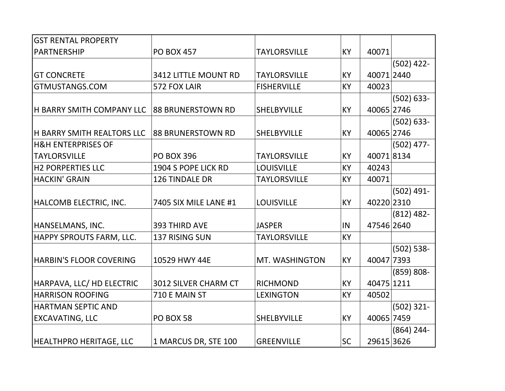| <b>GST RENTAL PROPERTY</b>        |                          |                     |           |            |               |
|-----------------------------------|--------------------------|---------------------|-----------|------------|---------------|
| <b>PARTNERSHIP</b>                | <b>PO BOX 457</b>        | <b>TAYLORSVILLE</b> | KY        | 40071      |               |
|                                   |                          |                     |           |            | $(502)$ 422-  |
| <b>GT CONCRETE</b>                | 3412 LITTLE MOUNT RD     | <b>TAYLORSVILLE</b> | KY        | 40071 2440 |               |
| GTMUSTANGS.COM                    | 572 FOX LAIR             | <b>FISHERVILLE</b>  | KY        | 40023      |               |
|                                   |                          |                     |           |            | $(502) 633 -$ |
| <b>H BARRY SMITH COMPANY LLC</b>  | <b>88 BRUNERSTOWN RD</b> | <b>SHELBYVILLE</b>  | KY        | 40065 2746 |               |
|                                   |                          |                     |           |            | $(502) 633 -$ |
| <b>H BARRY SMITH REALTORS LLC</b> | 88 BRUNERSTOWN RD        | <b>SHELBYVILLE</b>  | KY        | 40065 2746 |               |
| <b>H&amp;H ENTERPRISES OF</b>     |                          |                     |           |            | $(502)$ 477-  |
| <b>TAYLORSVILLE</b>               | <b>PO BOX 396</b>        | <b>TAYLORSVILLE</b> | KY        | 400718134  |               |
| <b>H2 PORPERTIES LLC</b>          | 1904 S POPE LICK RD      | <b>LOUISVILLE</b>   | KY        | 40243      |               |
| <b>HACKIN' GRAIN</b>              | 126 TINDALE DR           | <b>TAYLORSVILLE</b> | KY        | 40071      |               |
|                                   |                          |                     |           |            | $(502)$ 491-  |
| HALCOMB ELECTRIC, INC.            | 7405 SIX MILE LANE #1    | <b>LOUISVILLE</b>   | <b>KY</b> | 40220 2310 |               |
|                                   |                          |                     |           |            | $(812)$ 482-  |
| HANSELMANS, INC.                  | 393 THIRD AVE            | <b>JASPER</b>       | IN        | 47546 2640 |               |
| HAPPY SPROUTS FARM, LLC.          | 137 RISING SUN           | <b>TAYLORSVILLE</b> | KY        |            |               |
|                                   |                          |                     |           |            | $(502) 538 -$ |
| <b>HARBIN'S FLOOR COVERING</b>    | 10529 HWY 44E            | MT. WASHINGTON      | KY        | 40047 7393 |               |
|                                   |                          |                     |           |            | $(859) 808 -$ |
| HARPAVA, LLC/ HD ELECTRIC         | 3012 SILVER CHARM CT     | <b>RICHMOND</b>     | KY        | 40475 1211 |               |
| <b>HARRISON ROOFING</b>           | 710 E MAIN ST            | <b>LEXINGTON</b>    | KY        | 40502      |               |
| <b>HARTMAN SEPTIC AND</b>         |                          |                     |           |            | $(502)$ 321-  |
| <b>EXCAVATING, LLC</b>            | <b>PO BOX 58</b>         | <b>SHELBYVILLE</b>  | <b>KY</b> | 40065 7459 |               |
|                                   |                          |                     |           |            | $(864)$ 244-  |
| <b>HEALTHPRO HERITAGE, LLC</b>    | 1 MARCUS DR, STE 100     | <b>GREENVILLE</b>   | <b>SC</b> | 29615 3626 |               |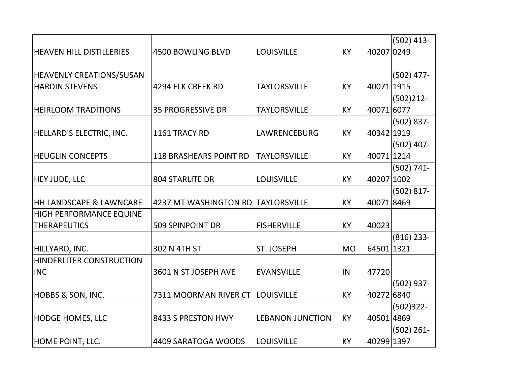|                                 |                               |                         |           |            | $(502)$ 413-  |
|---------------------------------|-------------------------------|-------------------------|-----------|------------|---------------|
| <b>HEAVEN HILL DISTILLERIES</b> | <b>4500 BOWLING BLVD</b>      | <b>LOUISVILLE</b>       | KY        | 40207 0249 |               |
|                                 |                               |                         |           |            |               |
| <b>HEAVENLY CREATIONS/SUSAN</b> |                               |                         |           |            | $(502)$ 477-  |
| <b>HARDIN STEVENS</b>           | 4294 ELK CREEK RD             | <b>TAYLORSVILLE</b>     | KY        | 40071 1915 |               |
|                                 |                               |                         |           |            | $(502)212 -$  |
| <b>HEIRLOOM TRADITIONS</b>      | <b>35 PROGRESSIVE DR</b>      | <b>TAYLORSVILLE</b>     | <b>KY</b> | 40071 6077 |               |
|                                 |                               |                         |           |            | $(502) 837 -$ |
| HELLARD'S ELECTRIC, INC.        | 1161 TRACY RD                 | LAWRENCEBURG            | <b>KY</b> | 40342 1919 |               |
|                                 |                               |                         |           |            | $(502)$ 407-  |
| <b>HEUGLIN CONCEPTS</b>         | <b>118 BRASHEARS POINT RD</b> | <b>TAYLORSVILLE</b>     | <b>KY</b> | 40071 1214 |               |
|                                 |                               |                         |           |            | $(502) 741 -$ |
| <b>HEY JUDE, LLC</b>            | <b>804 STARLITE DR</b>        | <b>LOUISVILLE</b>       | KY        | 40207 1002 |               |
|                                 |                               |                         |           |            | $(502) 817 -$ |
| HH LANDSCAPE & LAWNCARE         | 4237 MT WASHINGTON RD         | <b>TAYLORSVILLE</b>     | <b>KY</b> | 400718469  |               |
| HIGH PERFORMANCE EQUINE         |                               |                         |           |            |               |
| <b>THERAPEUTICS</b>             | <b>509 SPINPOINT DR</b>       | <b>FISHERVILLE</b>      | <b>KY</b> | 40023      |               |
|                                 |                               |                         |           |            | $(816)$ 233-  |
| HILLYARD, INC.                  | 302 N 4TH ST                  | ST. JOSEPH              | <b>MO</b> | 64501 1321 |               |
| HINDERLITER CONSTRUCTION        |                               |                         |           |            |               |
| <b>INC</b>                      | 3601 N ST JOSEPH AVE          | <b>EVANSVILLE</b>       | IN        | 47720      |               |
|                                 |                               |                         |           |            | (502) 937-    |
| HOBBS & SON, INC.               | 7311 MOORMAN RIVER CT         | <b>LOUISVILLE</b>       | KY        | 40272 6840 |               |
|                                 |                               |                         |           |            | $(502)322 -$  |
| <b>HODGE HOMES, LLC</b>         | 8433 S PRESTON HWY            | <b>LEBANON JUNCTION</b> | KY        | 40501 4869 |               |
|                                 |                               |                         |           |            | $(502)$ 261-  |
| HOME POINT, LLC.                | 4409 SARATOGA WOODS           | <b>LOUISVILLE</b>       | <b>KY</b> | 40299 1397 |               |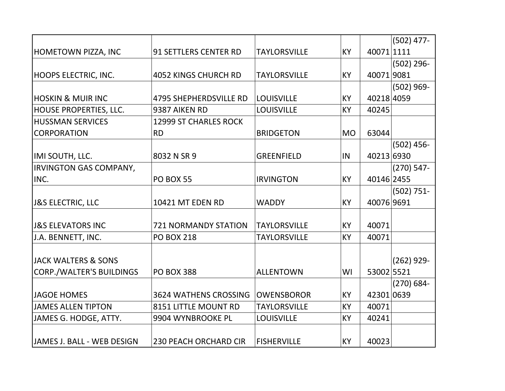|                                |                               |                     |           |            | $(502)$ 477-  |
|--------------------------------|-------------------------------|---------------------|-----------|------------|---------------|
| HOMETOWN PIZZA, INC            | <b>91 SETTLERS CENTER RD</b>  | <b>TAYLORSVILLE</b> | <b>KY</b> | 40071 1111 |               |
|                                |                               |                     |           |            | $(502)$ 296-  |
| HOOPS ELECTRIC, INC.           | <b>4052 KINGS CHURCH RD</b>   | <b>TAYLORSVILLE</b> | <b>KY</b> | 400719081  |               |
|                                |                               |                     |           |            | $(502)$ 969-  |
| <b>HOSKIN &amp; MUIR INC</b>   | <b>4795 SHEPHERDSVILLE RD</b> | <b>LOUISVILLE</b>   | KY        | 40218 4059 |               |
| HOUSE PROPERTIES, LLC.         | 9387 AIKEN RD                 | <b>LOUISVILLE</b>   | KY        | 40245      |               |
| <b>HUSSMAN SERVICES</b>        | <b>12999 ST CHARLES ROCK</b>  |                     |           |            |               |
| <b>CORPORATION</b>             | <b>RD</b>                     | <b>BRIDGETON</b>    | <b>MO</b> | 63044      |               |
|                                |                               |                     |           |            | $(502)$ 456-  |
| IMI SOUTH, LLC.                | 8032 N SR 9                   | <b>GREENFIELD</b>   | IN        | 40213 6930 |               |
| <b>IRVINGTON GAS COMPANY,</b>  |                               |                     |           |            | $(270)$ 547-  |
| INC.                           | <b>PO BOX 55</b>              | <b>IRVINGTON</b>    | KY        | 40146 2455 |               |
|                                |                               |                     |           |            | $(502) 751 -$ |
| <b>J&amp;S ELECTRIC, LLC</b>   | 10421 MT EDEN RD              | <b>WADDY</b>        | <b>KY</b> | 40076 9691 |               |
| <b>J&amp;S ELEVATORS INC</b>   | <b>721 NORMANDY STATION</b>   | <b>TAYLORSVILLE</b> | KY        | 40071      |               |
| J.A. BENNETT, INC.             | <b>PO BOX 218</b>             | <b>TAYLORSVILLE</b> | <b>KY</b> | 40071      |               |
| <b>JACK WALTERS &amp; SONS</b> |                               |                     |           |            | $(262)$ 929-  |
| CORP./WALTER'S BUILDINGS       | <b>PO BOX 388</b>             | <b>ALLENTOWN</b>    | WI        | 53002 5521 |               |
|                                |                               |                     |           |            | $(270) 684 -$ |
| JAGOE HOMES                    | <b>3624 WATHENS CROSSING</b>  | <b>OWENSBOROR</b>   | <b>KY</b> | 42301 0639 |               |
| <b>JAMES ALLEN TIPTON</b>      | 8151 LITTLE MOUNT RD          | <b>TAYLORSVILLE</b> | KY        | 40071      |               |
| JAMES G. HODGE, ATTY.          | 9904 WYNBROOKE PL             | <b>LOUISVILLE</b>   | <b>KY</b> | 40241      |               |
|                                |                               |                     |           |            |               |
| JAMES J. BALL - WEB DESIGN     | <b>230 PEACH ORCHARD CIR</b>  | <b>FISHERVILLE</b>  | KY        | 40023      |               |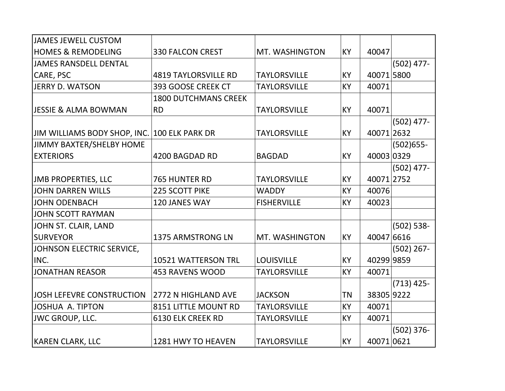| <b>JAMES JEWELL CUSTOM</b>                   |                             |                     |           |            |               |
|----------------------------------------------|-----------------------------|---------------------|-----------|------------|---------------|
| <b>HOMES &amp; REMODELING</b>                | <b>330 FALCON CREST</b>     | MT. WASHINGTON      | KY        | 40047      |               |
| <b>JAMES RANSDELL DENTAL</b>                 |                             |                     |           |            | $(502)$ 477-  |
| CARE, PSC                                    | <b>4819 TAYLORSVILLE RD</b> | <b>TAYLORSVILLE</b> | KY        | 40071 5800 |               |
| JERRY D. WATSON                              | 393 GOOSE CREEK CT          | <b>TAYLORSVILLE</b> | KY        | 40071      |               |
|                                              | <b>1800 DUTCHMANS CREEK</b> |                     |           |            |               |
| <b>JESSIE &amp; ALMA BOWMAN</b>              | <b>RD</b>                   | <b>TAYLORSVILLE</b> | KY        | 40071      |               |
|                                              |                             |                     |           |            | $(502)$ 477-  |
| JIM WILLIAMS BODY SHOP, INC. 100 ELK PARK DR |                             | <b>TAYLORSVILLE</b> | KY        | 40071 2632 |               |
| JIMMY BAXTER/SHELBY HOME                     |                             |                     |           |            | $(502)655 -$  |
| <b>EXTERIORS</b>                             | 4200 BAGDAD RD              | <b>BAGDAD</b>       | KY        | 40003 0329 |               |
|                                              |                             |                     |           |            | $(502)$ 477-  |
| <b>JMB PROPERTIES, LLC</b>                   | 765 HUNTER RD               | <b>TAYLORSVILLE</b> | <b>KY</b> | 40071 2752 |               |
| <b>JOHN DARREN WILLS</b>                     | <b>225 SCOTT PIKE</b>       | <b>WADDY</b>        | <b>KY</b> | 40076      |               |
| <b>JOHN ODENBACH</b>                         | 120 JANES WAY               | <b>FISHERVILLE</b>  | <b>KY</b> | 40023      |               |
| <b>JOHN SCOTT RAYMAN</b>                     |                             |                     |           |            |               |
| JOHN ST. CLAIR, LAND                         |                             |                     |           |            | $(502) 538 -$ |
| <b>SURVEYOR</b>                              | 1375 ARMSTRONG LN           | MT. WASHINGTON      | <b>KY</b> | 40047 6616 |               |
| JOHNSON ELECTRIC SERVICE,                    |                             |                     |           |            | $(502)$ 267-  |
| INC.                                         | 10521 WATTERSON TRL         | <b>LOUISVILLE</b>   | <b>KY</b> | 40299 9859 |               |
| <b>JONATHAN REASOR</b>                       | <b>453 RAVENS WOOD</b>      | <b>TAYLORSVILLE</b> | KY        | 40071      |               |
|                                              |                             |                     |           |            | $(713)$ 425-  |
| JOSH LEFEVRE CONSTRUCTION                    | 2772 N HIGHLAND AVE         | <b>JACKSON</b>      | ΤN        | 38305 9222 |               |
| <b>JOSHUA A. TIPTON</b>                      | 8151 LITTLE MOUNT RD        | <b>TAYLORSVILLE</b> | KY        | 40071      |               |
| <b>JWC GROUP, LLC.</b>                       | <b>6130 ELK CREEK RD</b>    | <b>TAYLORSVILLE</b> | KY        | 40071      |               |
|                                              |                             |                     |           |            | $(502)$ 376-  |
| <b>KAREN CLARK, LLC</b>                      | 1281 HWY TO HEAVEN          | <b>TAYLORSVILLE</b> | <b>KY</b> | 400710621  |               |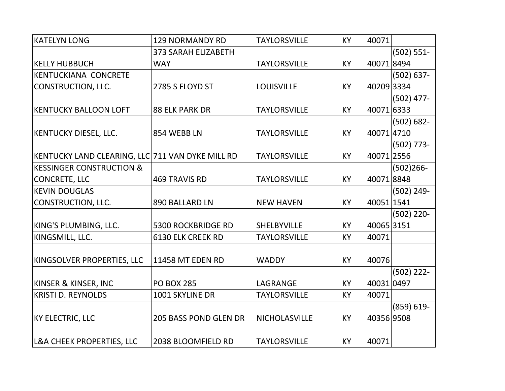| <b>KATELYN LONG</b>                              | <b>129 NORMANDY RD</b>       | <b>TAYLORSVILLE</b> | <b>KY</b> | 40071      |               |
|--------------------------------------------------|------------------------------|---------------------|-----------|------------|---------------|
|                                                  | <b>373 SARAH ELIZABETH</b>   |                     |           |            | $(502) 551 -$ |
| <b>KELLY HUBBUCH</b>                             | <b>WAY</b>                   | <b>TAYLORSVILLE</b> | <b>KY</b> | 400718494  |               |
| KENTUCKIANA CONCRETE                             |                              |                     |           |            | $(502) 637 -$ |
| CONSTRUCTION, LLC.                               | 2785 S FLOYD ST              | <b>LOUISVILLE</b>   | <b>KY</b> | 40209 3334 |               |
|                                                  |                              |                     |           |            | $(502)$ 477-  |
| <b>KENTUCKY BALLOON LOFT</b>                     | <b>88 ELK PARK DR</b>        | <b>TAYLORSVILLE</b> | <b>KY</b> | 40071 6333 |               |
|                                                  |                              |                     |           |            | $(502) 682 -$ |
| <b>KENTUCKY DIESEL, LLC.</b>                     | 854 WEBB LN                  | <b>TAYLORSVILLE</b> | <b>KY</b> | 400714710  |               |
|                                                  |                              |                     |           |            | $(502)$ 773-  |
| KENTUCKY LAND CLEARING, LLC 711 VAN DYKE MILL RD |                              | <b>TAYLORSVILLE</b> | KY        | 40071 2556 |               |
| <b>KESSINGER CONSTRUCTION &amp;</b>              |                              |                     |           |            | $(502)266 -$  |
| CONCRETE, LLC                                    | <b>469 TRAVIS RD</b>         | <b>TAYLORSVILLE</b> | <b>KY</b> | 400718848  |               |
| <b>KEVIN DOUGLAS</b>                             |                              |                     |           |            | $(502) 249 -$ |
| CONSTRUCTION, LLC.                               | <b>890 BALLARD LN</b>        | <b>NEW HAVEN</b>    | <b>KY</b> | 40051 1541 |               |
|                                                  |                              |                     |           |            | $(502)$ 220-  |
| KING'S PLUMBING, LLC.                            | <b>5300 ROCKBRIDGE RD</b>    | <b>SHELBYVILLE</b>  | KY        | 40065 3151 |               |
| KINGSMILL, LLC.                                  | <b>6130 ELK CREEK RD</b>     | <b>TAYLORSVILLE</b> | KY        | 40071      |               |
| KINGSOLVER PROPERTIES, LLC                       | <b>11458 MT EDEN RD</b>      | <b>WADDY</b>        | <b>KY</b> | 40076      |               |
|                                                  |                              |                     |           |            | $(502)$ 222-  |
| <b>KINSER &amp; KINSER, INC</b>                  | <b>PO BOX 285</b>            | LAGRANGE            | <b>KY</b> | 40031 0497 |               |
| <b>KRISTI D. REYNOLDS</b>                        | 1001 SKYLINE DR              | <b>TAYLORSVILLE</b> | KY        | 40071      |               |
|                                                  |                              |                     |           |            | $(859) 619 -$ |
| KY ELECTRIC, LLC                                 | <b>205 BASS POND GLEN DR</b> | NICHOLASVILLE       | <b>KY</b> | 40356 9508 |               |
| <b>L&amp;A CHEEK PROPERTIES, LLC</b>             | 2038 BLOOMFIELD RD           | <b>TAYLORSVILLE</b> | KY        | 40071      |               |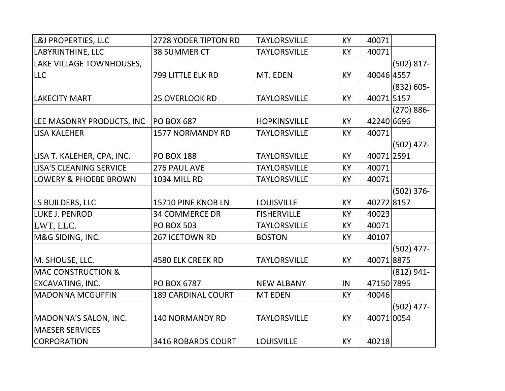| L&J PROPERTIES, LLC              | 2728 YODER TIPTON RD      | <b>TAYLORSVILLE</b> | KY        | 40071      |               |
|----------------------------------|---------------------------|---------------------|-----------|------------|---------------|
| LABYRINTHINE, LLC                | <b>38 SUMMER CT</b>       | <b>TAYLORSVILLE</b> | KY        | 40071      |               |
| LAKE VILLAGE TOWNHOUSES,         |                           |                     |           |            | $(502) 817 -$ |
| <b>LLC</b>                       | 799 LITTLE ELK RD         | MT. EDEN            | KY        | 40046 4557 |               |
|                                  |                           |                     |           |            | $(832) 605 -$ |
| <b>LAKECITY MART</b>             | 25 OVERLOOK RD            | <b>TAYLORSVILLE</b> | KY        | 400715157  |               |
|                                  |                           |                     |           |            | $(270) 886 -$ |
| LEE MASONRY PRODUCTS, INC        | <b>PO BOX 687</b>         | <b>HOPKINSVILLE</b> | <b>KY</b> | 42240 6696 |               |
| <b>LISA KALEHER</b>              | <b>1577 NORMANDY RD</b>   | <b>TAYLORSVILLE</b> | KY        | 40071      |               |
|                                  |                           |                     |           |            | $(502)$ 477-  |
| LISA T. KALEHER, CPA, INC.       | <b>PO BOX 188</b>         | <b>TAYLORSVILLE</b> | KY        | 40071 2591 |               |
| <b>LISA'S CLEANING SERVICE</b>   | 276 PAUL AVE              | <b>TAYLORSVILLE</b> | KY        | 40071      |               |
| <b>LOWERY &amp; PHOEBE BROWN</b> | <b>1034 MILL RD</b>       | <b>TAYLORSVILLE</b> | KY        | 40071      |               |
|                                  |                           |                     |           |            | $(502)$ 376-  |
| LS BUILDERS, LLC                 | 15710 PINE KNOB LN        | <b>LOUISVILLE</b>   | KY        | 402728157  |               |
| LUKE J. PENROD                   | <b>34 COMMERCE DR</b>     | <b>FISHERVILLE</b>  | KY        | 40023      |               |
| LWT, LLC.                        | <b>PO BOX 503</b>         | <b>TAYLORSVILLE</b> | <b>KY</b> | 40071      |               |
| M&G SIDING, INC.                 | 267 ICETOWN RD            | <b>BOSTON</b>       | KY        | 40107      |               |
|                                  |                           |                     |           |            | $(502)$ 477-  |
| M. SHOUSE, LLC.                  | <b>4580 ELK CREEK RD</b>  | <b>TAYLORSVILLE</b> | KY        | 400718875  |               |
| <b>MAC CONSTRUCTION &amp;</b>    |                           |                     |           |            | $(812) 941 -$ |
| EXCAVATING, INC.                 | PO BOX 6787               | <b>NEW ALBANY</b>   | IN        | 47150 7895 |               |
| <b>MADONNA MCGUFFIN</b>          | <b>189 CARDINAL COURT</b> | <b>MT EDEN</b>      | KY        | 40046      |               |
|                                  |                           |                     |           |            | $(502)$ 477-  |
| MADONNA'S SALON, INC.            | <b>140 NORMANDY RD</b>    | <b>TAYLORSVILLE</b> | <b>KY</b> | 40071 0054 |               |
| <b>MAESER SERVICES</b>           |                           |                     |           |            |               |
| <b>CORPORATION</b>               | <b>3416 ROBARDS COURT</b> | <b>LOUISVILLE</b>   | KY        | 40218      |               |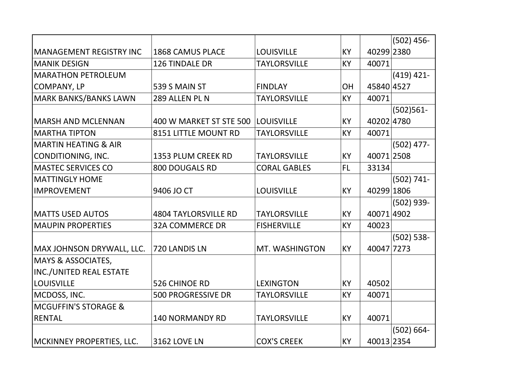|                                 |                             |                     |           |            | $(502)$ 456-  |
|---------------------------------|-----------------------------|---------------------|-----------|------------|---------------|
| <b>MANAGEMENT REGISTRY INC</b>  | <b>1868 CAMUS PLACE</b>     | <b>LOUISVILLE</b>   | <b>KY</b> | 40299 2380 |               |
| <b>MANIK DESIGN</b>             | 126 TINDALE DR              | <b>TAYLORSVILLE</b> | <b>KY</b> | 40071      |               |
| <b>MARATHON PETROLEUM</b>       |                             |                     |           |            | $(419)$ 421-  |
| <b>COMPANY, LP</b>              | 539 S MAIN ST               | <b>FINDLAY</b>      | <b>OH</b> | 45840 4527 |               |
| <b>MARK BANKS/BANKS LAWN</b>    | 289 ALLEN PL N              | <b>TAYLORSVILLE</b> | <b>KY</b> | 40071      |               |
|                                 |                             |                     |           |            | $(502)561 -$  |
| <b>MARSH AND MCLENNAN</b>       | 400 W MARKET ST STE 500     | <b>LOUISVILLE</b>   | <b>KY</b> | 40202 4780 |               |
| <b>MARTHA TIPTON</b>            | 8151 LITTLE MOUNT RD        | <b>TAYLORSVILLE</b> | <b>KY</b> | 40071      |               |
| <b>MARTIN HEATING &amp; AIR</b> |                             |                     |           |            | $(502)$ 477-  |
| CONDITIONING, INC.              | 1353 PLUM CREEK RD          | <b>TAYLORSVILLE</b> | <b>KY</b> | 40071 2508 |               |
| <b>MASTEC SERVICES CO</b>       | <b>800 DOUGALS RD</b>       | <b>CORAL GABLES</b> | FL.       | 33134      |               |
| <b>MATTINGLY HOME</b>           |                             |                     |           |            | $(502) 741 -$ |
| <b>IMPROVEMENT</b>              | 9406 JO CT                  | <b>LOUISVILLE</b>   | <b>KY</b> | 40299 1806 |               |
|                                 |                             |                     |           |            | (502) 939-    |
| <b>MATTS USED AUTOS</b>         | <b>4804 TAYLORSVILLE RD</b> | <b>TAYLORSVILLE</b> | KY        | 40071 4902 |               |
| <b>MAUPIN PROPERTIES</b>        | <b>32A COMMERCE DR</b>      | <b>FISHERVILLE</b>  | <b>KY</b> | 40023      |               |
|                                 |                             |                     |           |            | $(502) 538 -$ |
| MAX JOHNSON DRYWALL, LLC.       | 720 LANDIS LN               | MT. WASHINGTON      | KY        | 40047 7273 |               |
| <b>MAYS &amp; ASSOCIATES,</b>   |                             |                     |           |            |               |
| <b>INC./UNITED REAL ESTATE</b>  |                             |                     |           |            |               |
| <b>LOUISVILLE</b>               | 526 CHINOE RD               | <b>LEXINGTON</b>    | <b>KY</b> | 40502      |               |
| MCDOSS, INC.                    | <b>500 PROGRESSIVE DR</b>   | <b>TAYLORSVILLE</b> | <b>KY</b> | 40071      |               |
| <b>MCGUFFIN'S STORAGE &amp;</b> |                             |                     |           |            |               |
| <b>RENTAL</b>                   | <b>140 NORMANDY RD</b>      | <b>TAYLORSVILLE</b> | <b>KY</b> | 40071      |               |
|                                 |                             |                     |           |            | $(502) 664 -$ |
| MCKINNEY PROPERTIES, LLC.       | <b>3162 LOVE LN</b>         | <b>COX'S CREEK</b>  | KY        | 40013 2354 |               |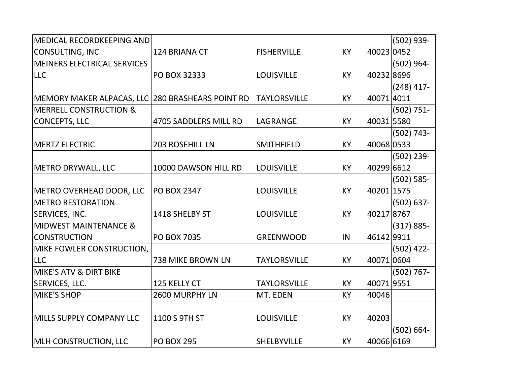| <b>MEDICAL RECORDKEEPING AND</b>                 |                        |                     |           |            | $(502)$ 939-  |
|--------------------------------------------------|------------------------|---------------------|-----------|------------|---------------|
| <b>CONSULTING, INC</b>                           | 124 BRIANA CT          | <b>FISHERVILLE</b>  | <b>KY</b> | 40023 0452 |               |
| <b>MEINERS ELECTRICAL SERVICES</b>               |                        |                     |           |            | $(502)$ 964-  |
| <b>LLC</b>                                       | PO BOX 32333           | <b>LOUISVILLE</b>   | <b>KY</b> | 40232 8696 |               |
|                                                  |                        |                     |           |            | $(248)$ 417-  |
| MEMORY MAKER ALPACAS, LLC 280 BRASHEARS POINT RD |                        | <b>TAYLORSVILLE</b> | <b>KY</b> | 400714011  |               |
| <b>MERRELL CONSTRUCTION &amp;</b>                |                        |                     |           |            | $(502) 751 -$ |
| <b>CONCEPTS, LLC</b>                             | 4705 SADDLERS MILL RD  | LAGRANGE            | <b>KY</b> | 40031 5580 |               |
|                                                  |                        |                     |           |            | $(502) 743 -$ |
| <b>MERTZ ELECTRIC</b>                            | <b>203 ROSEHILL LN</b> | <b>SMITHFIELD</b>   | <b>KY</b> | 40068 0533 |               |
|                                                  |                        |                     |           |            | $(502)$ 239-  |
| METRO DRYWALL, LLC                               | 10000 DAWSON HILL RD   | <b>LOUISVILLE</b>   | <b>KY</b> | 40299 6612 |               |
|                                                  |                        |                     |           |            | $(502) 585 -$ |
| METRO OVERHEAD DOOR, LLC                         | <b>PO BOX 2347</b>     | <b>LOUISVILLE</b>   | <b>KY</b> | 40201 1575 |               |
| <b>METRO RESTORATION</b>                         |                        |                     |           |            | $(502) 637 -$ |
| <b>SERVICES, INC.</b>                            | 1418 SHELBY ST         | <b>LOUISVILLE</b>   | <b>KY</b> | 40217 8767 |               |
| <b>MIDWEST MAINTENANCE &amp;</b>                 |                        |                     |           |            | $(317) 885 -$ |
| <b>CONSTRUCTION</b>                              | <b>PO BOX 7035</b>     | <b>GREENWOOD</b>    | IN        | 46142 9911 |               |
| MIKE FOWLER CONSTRUCTION,                        |                        |                     |           |            | $(502)$ 422-  |
| <b>LLC</b>                                       | 738 MIKE BROWN LN      | <b>TAYLORSVILLE</b> | <b>KY</b> | 400710604  |               |
| MIKE'S ATV & DIRT BIKE                           |                        |                     |           |            | $(502) 767 -$ |
| SERVICES, LLC.                                   | 125 KELLY CT           | <b>TAYLORSVILLE</b> | <b>KY</b> | 400719551  |               |
| <b>MIKE'S SHOP</b>                               | 2600 MURPHY LN         | MT. EDEN            | KY        | 40046      |               |
|                                                  |                        |                     |           |            |               |
| MILLS SUPPLY COMPANY LLC                         | 1100 S 9TH ST          | <b>LOUISVILLE</b>   | KY        | 40203      |               |
|                                                  |                        |                     |           |            | $(502) 664 -$ |
| MLH CONSTRUCTION, LLC                            | <b>PO BOX 295</b>      | <b>SHELBYVILLE</b>  | KY        | 40066 6169 |               |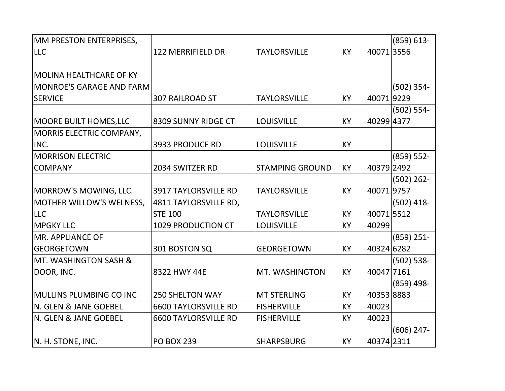| MM PRESTON ENTERPRISES,  |                             |                        |           |            | $(859) 613 -$ |
|--------------------------|-----------------------------|------------------------|-----------|------------|---------------|
| <b>LLC</b>               | <b>122 MERRIFIELD DR</b>    | <b>TAYLORSVILLE</b>    | KY        | 400713556  |               |
|                          |                             |                        |           |            |               |
| MOLINA HEALTHCARE OF KY  |                             |                        |           |            |               |
| MONROE'S GARAGE AND FARM |                             |                        |           |            | $(502) 354 -$ |
| <b>SERVICE</b>           | 307 RAILROAD ST             | <b>TAYLORSVILLE</b>    | KY        | 400719229  |               |
|                          |                             |                        |           |            | $(502) 554 -$ |
| MOORE BUILT HOMES, LLC   | 8309 SUNNY RIDGE CT         | <b>LOUISVILLE</b>      | <b>KY</b> | 40299 4377 |               |
| MORRIS ELECTRIC COMPANY, |                             |                        |           |            |               |
| INC.                     | <b>3933 PRODUCE RD</b>      | <b>LOUISVILLE</b>      | <b>KY</b> |            |               |
| <b>MORRISON ELECTRIC</b> |                             |                        |           |            | $(859) 552 -$ |
| <b>COMPANY</b>           | 2034 SWITZER RD             | <b>STAMPING GROUND</b> | KY        | 40379 2492 |               |
|                          |                             |                        |           |            | $(502)$ 262-  |
| MORROW'S MOWING, LLC.    | <b>3917 TAYLORSVILLE RD</b> | <b>TAYLORSVILLE</b>    | KY        | 400719757  |               |
| MOTHER WILLOW'S WELNESS, | 4811 TAYLORSVILLE RD,       |                        |           |            | $(502)$ 418-  |
| <b>LLC</b>               | <b>STE 100</b>              | <b>TAYLORSVILLE</b>    | KY        | 400715512  |               |
| <b>MPGKY LLC</b>         | 1029 PRODUCTION CT          | <b>LOUISVILLE</b>      | <b>KY</b> | 40299      |               |
| <b>IMR. APPLIANCE OF</b> |                             |                        |           |            | $(859)$ 251-  |
| <b>GEORGETOWN</b>        | 301 BOSTON SQ               | <b>GEORGETOWN</b>      | KY        | 40324 6282 |               |
| MT. WASHINGTON SASH &    |                             |                        |           |            | $(502) 538 -$ |
| DOOR, INC.               | 8322 HWY 44E                | MT. WASHINGTON         | KY        | 40047 7161 |               |
|                          |                             |                        |           |            | $(859)$ 498-  |
| MULLINS PLUMBING CO INC  | <b>250 SHELTON WAY</b>      | <b>MT STERLING</b>     | KY        | 40353 8883 |               |
| N. GLEN & JANE GOEBEL    | <b>6600 TAYLORSVILLE RD</b> | <b>FISHERVILLE</b>     | KY        | 40023      |               |
| N. GLEN & JANE GOEBEL    | <b>6600 TAYLORSVILLE RD</b> | <b>FISHERVILLE</b>     | KY        | 40023      |               |
|                          |                             |                        |           |            | $(606)$ 247-  |
| N. H. STONE, INC.        | <b>PO BOX 239</b>           | <b>SHARPSBURG</b>      | <b>KY</b> | 40374 2311 |               |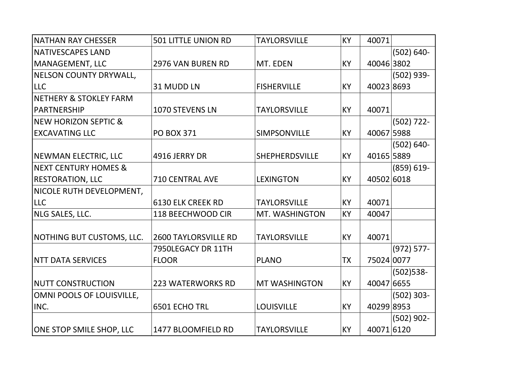| NATHAN RAY CHESSER                | <b>501 LITTLE UNION RD</b>  | <b>TAYLORSVILLE</b>   | KY        | 40071      |               |
|-----------------------------------|-----------------------------|-----------------------|-----------|------------|---------------|
| <b>NATIVESCAPES LAND</b>          |                             |                       |           |            | $(502) 640 -$ |
| MANAGEMENT, LLC                   | 2976 VAN BUREN RD           | MT. EDEN              | KY        | 40046 3802 |               |
| <b>NELSON COUNTY DRYWALL,</b>     |                             |                       |           |            | (502) 939-    |
| <b>LLC</b>                        | 31 MUDD LN                  | <b>FISHERVILLE</b>    | KY        | 400238693  |               |
| <b>NETHERY &amp; STOKLEY FARM</b> |                             |                       |           |            |               |
| PARTNERSHIP                       | 1070 STEVENS LN             | <b>TAYLORSVILLE</b>   | KY        | 40071      |               |
| <b>INEW HORIZON SEPTIC &amp;</b>  |                             |                       |           |            | $(502) 722 -$ |
| <b>EXCAVATING LLC</b>             | <b>PO BOX 371</b>           | SIMPSONVILLE          | <b>KY</b> | 40067 5988 |               |
|                                   |                             |                       |           |            | $(502) 640 -$ |
| NEWMAN ELECTRIC, LLC              | 4916 JERRY DR               | <b>SHEPHERDSVILLE</b> | KY        | 40165 5889 |               |
| <b>NEXT CENTURY HOMES &amp;</b>   |                             |                       |           |            | $(859) 619 -$ |
| <b>RESTORATION, LLC</b>           | <b>710 CENTRAL AVE</b>      | <b>LEXINGTON</b>      | <b>KY</b> | 40502 6018 |               |
| NICOLE RUTH DEVELOPMENT,          |                             |                       |           |            |               |
| <b>LLC</b>                        | <b>6130 ELK CREEK RD</b>    | <b>TAYLORSVILLE</b>   | KY        | 40071      |               |
| NLG SALES, LLC.                   | 118 BEECHWOOD CIR           | MT. WASHINGTON        | KY        | 40047      |               |
|                                   |                             |                       |           |            |               |
| NOTHING BUT CUSTOMS, LLC.         | <b>2600 TAYLORSVILLE RD</b> | <b>TAYLORSVILLE</b>   | <b>KY</b> | 40071      |               |
|                                   | 7950LEGACY DR 11TH          |                       |           |            | $(972) 577 -$ |
| <b>NTT DATA SERVICES</b>          | <b>FLOOR</b>                | <b>PLANO</b>          | TX        | 75024 0077 |               |
|                                   |                             |                       |           |            | $(502)$ 538-  |
| <b>NUTT CONSTRUCTION</b>          | <b>223 WATERWORKS RD</b>    | <b>MT WASHINGTON</b>  | <b>KY</b> | 40047 6655 |               |
| OMNI POOLS OF LOUISVILLE,         |                             |                       |           |            | $(502) 303 -$ |
| INC.                              | 6501 ECHO TRL               | <b>LOUISVILLE</b>     | <b>KY</b> | 40299 8953 |               |
|                                   |                             |                       |           |            | $(502)$ 902-  |
| <b>ONE STOP SMILE SHOP, LLC</b>   | 1477 BLOOMFIELD RD          | <b>TAYLORSVILLE</b>   | <b>KY</b> | 40071 6120 |               |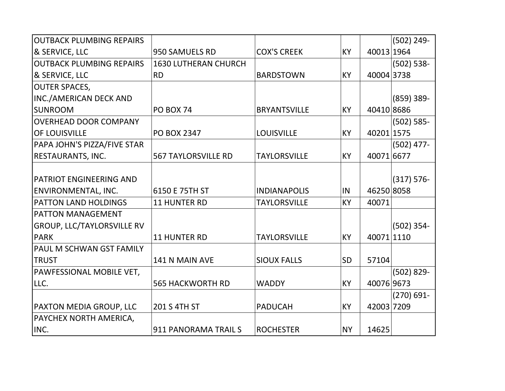| <b>OUTBACK PLUMBING REPAIRS</b>   |                             |                     |           |            | $(502) 249 -$ |
|-----------------------------------|-----------------------------|---------------------|-----------|------------|---------------|
| & SERVICE, LLC                    | 950 SAMUELS RD              | <b>COX'S CREEK</b>  | KY        | 40013 1964 |               |
| <b>OUTBACK PLUMBING REPAIRS</b>   | <b>1630 LUTHERAN CHURCH</b> |                     |           |            | $(502) 538 -$ |
| & SERVICE, LLC                    | <b>RD</b>                   | <b>BARDSTOWN</b>    | KY        | 40004 3738 |               |
| <b>OUTER SPACES,</b>              |                             |                     |           |            |               |
| <b>INC./AMERICAN DECK AND</b>     |                             |                     |           |            | $(859)$ 389-  |
| <b>SUNROOM</b>                    | <b>PO BOX 74</b>            | <b>BRYANTSVILLE</b> | <b>KY</b> | 40410 8686 |               |
| <b>OVERHEAD DOOR COMPANY</b>      |                             |                     |           |            | $(502) 585 -$ |
| OF LOUISVILLE                     | <b>PO BOX 2347</b>          | <b>LOUISVILLE</b>   | <b>KY</b> | 40201 1575 |               |
| PAPA JOHN'S PIZZA/FIVE STAR       |                             |                     |           |            | $(502)$ 477-  |
| <b>RESTAURANTS, INC.</b>          | <b>567 TAYLORSVILLE RD</b>  | <b>TAYLORSVILLE</b> | KY        | 40071 6677 |               |
|                                   |                             |                     |           |            |               |
| <b>PATRIOT ENGINEERING AND</b>    |                             |                     |           |            | $(317) 576-$  |
| <b>ENVIRONMENTAL, INC.</b>        | 6150 E 75TH ST              | <b>INDIANAPOLIS</b> | IN        | 46250 8058 |               |
| PATTON LAND HOLDINGS              | <b>11 HUNTER RD</b>         | <b>TAYLORSVILLE</b> | KY        | 40071      |               |
| <b>PATTON MANAGEMENT</b>          |                             |                     |           |            |               |
| <b>GROUP, LLC/TAYLORSVILLE RV</b> |                             |                     |           |            | $(502)$ 354-  |
| <b>PARK</b>                       | <b>11 HUNTER RD</b>         | <b>TAYLORSVILLE</b> | <b>KY</b> | 40071 1110 |               |
| PAUL M SCHWAN GST FAMILY          |                             |                     |           |            |               |
| <b>TRUST</b>                      | 141 N MAIN AVE              | <b>SIOUX FALLS</b>  | <b>SD</b> | 57104      |               |
| PAWFESSIONAL MOBILE VET,          |                             |                     |           |            | $(502) 829 -$ |
| LLC.                              | <b>565 HACKWORTH RD</b>     | <b>WADDY</b>        | KY        | 40076 9673 |               |
|                                   |                             |                     |           |            | $(270) 691 -$ |
| PAXTON MEDIA GROUP, LLC           | 201 S 4TH ST                | <b>PADUCAH</b>      | KY        | 42003 7209 |               |
| PAYCHEX NORTH AMERICA,            |                             |                     |           |            |               |
| INC.                              | 911 PANORAMA TRAIL S        | <b>ROCHESTER</b>    | <b>NY</b> | 14625      |               |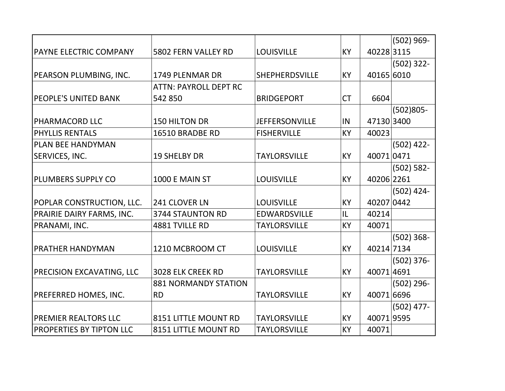|                                  |                              |                       |           |            | $(502)$ 969-  |
|----------------------------------|------------------------------|-----------------------|-----------|------------|---------------|
| <b>PAYNE ELECTRIC COMPANY</b>    | 5802 FERN VALLEY RD          | <b>LOUISVILLE</b>     | KY        | 40228 3115 |               |
|                                  |                              |                       |           |            | $(502)$ 322-  |
| PEARSON PLUMBING, INC.           | <b>1749 PLENMAR DR</b>       | <b>SHEPHERDSVILLE</b> | KY        | 40165 6010 |               |
|                                  | <b>ATTN: PAYROLL DEPT RC</b> |                       |           |            |               |
| <b>PEOPLE'S UNITED BANK</b>      | 542 850                      | <b>BRIDGEPORT</b>     | <b>CT</b> | 6604       |               |
|                                  |                              |                       |           |            | $(502)805 -$  |
| <b>PHARMACORD LLC</b>            | 150 HILTON DR                | <b>JEFFERSONVILLE</b> | IN        | 47130 3400 |               |
| <b>PHYLLIS RENTALS</b>           | 16510 BRADBE RD              | <b>FISHERVILLE</b>    | KY        | 40023      |               |
| <b>PLAN BEE HANDYMAN</b>         |                              |                       |           |            | $(502)$ 422-  |
| <b>SERVICES, INC.</b>            | <b>19 SHELBY DR</b>          | <b>TAYLORSVILLE</b>   | KY        | 40071 0471 |               |
|                                  |                              |                       |           |            | $(502) 582 -$ |
| <b>PLUMBERS SUPPLY CO</b>        | 1000 E MAIN ST               | <b>LOUISVILLE</b>     | KY        | 40206 2261 |               |
|                                  |                              |                       |           |            | $(502)$ 424-  |
| POPLAR CONSTRUCTION, LLC.        | 241 CLOVER LN                | <b>LOUISVILLE</b>     | KY        | 40207 0442 |               |
| PRAIRIE DAIRY FARMS, INC.        | <b>3744 STAUNTON RD</b>      | <b>EDWARDSVILLE</b>   | IL        | 40214      |               |
| PRANAMI, INC.                    | 4881 TVILLE RD               | <b>TAYLORSVILLE</b>   | <b>KY</b> | 40071      |               |
|                                  |                              |                       |           |            | $(502)$ 368-  |
| <b>PRATHER HANDYMAN</b>          | 1210 MCBROOM CT              | <b>LOUISVILLE</b>     | KY        | 40214 7134 |               |
|                                  |                              |                       |           |            | $(502)$ 376-  |
| <b>PRECISION EXCAVATING, LLC</b> | 3028 ELK CREEK RD            | <b>TAYLORSVILLE</b>   | KY        | 400714691  |               |
|                                  | <b>881 NORMANDY STATION</b>  |                       |           |            | $(502)$ 296-  |
| <b>PREFERRED HOMES, INC.</b>     | <b>RD</b>                    | <b>TAYLORSVILLE</b>   | KY        | 40071 6696 |               |
|                                  |                              |                       |           |            | $(502)$ 477-  |
| <b>PREMIER REALTORS LLC</b>      | 8151 LITTLE MOUNT RD         | <b>TAYLORSVILLE</b>   | KY        | 400719595  |               |
| <b>PROPERTIES BY TIPTON LLC</b>  | 8151 LITTLE MOUNT RD         | <b>TAYLORSVILLE</b>   | <b>KY</b> | 40071      |               |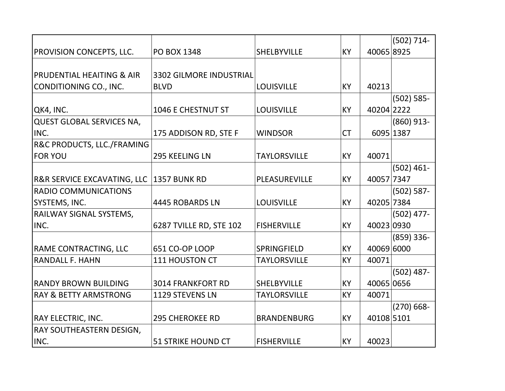|                                        |                                |                     |           |            | $(502) 714 -$ |
|----------------------------------------|--------------------------------|---------------------|-----------|------------|---------------|
| <b>PROVISION CONCEPTS, LLC.</b>        | <b>PO BOX 1348</b>             | <b>SHELBYVILLE</b>  | <b>KY</b> | 40065 8925 |               |
|                                        |                                |                     |           |            |               |
| <b>PRUDENTIAL HEAITING &amp; AIR</b>   | <b>3302 GILMORE INDUSTRIAL</b> |                     |           |            |               |
| CONDITIONING CO., INC.                 | <b>BLVD</b>                    | <b>LOUISVILLE</b>   | <b>KY</b> | 40213      |               |
|                                        |                                |                     |           |            | $(502) 585 -$ |
| QK4, INC.                              | 1046 E CHESTNUT ST             | <b>LOUISVILLE</b>   | KY        | 40204 2222 |               |
| <b>QUEST GLOBAL SERVICES NA,</b>       |                                |                     |           |            | $(860)$ 913-  |
| INC.                                   | 175 ADDISON RD, STE F          | <b>WINDSOR</b>      | <b>CT</b> |            | 6095 1387     |
| <b>R&amp;C PRODUCTS, LLC./FRAMING</b>  |                                |                     |           |            |               |
| <b>FOR YOU</b>                         | 295 KEELING LN                 | <b>TAYLORSVILLE</b> | <b>KY</b> | 40071      |               |
|                                        |                                |                     |           |            | $(502)$ 461-  |
| <b>R&amp;R SERVICE EXCAVATING, LLC</b> | 1357 BUNK RD                   | PLEASUREVILLE       | <b>KY</b> | 40057 7347 |               |
| <b>RADIO COMMUNICATIONS</b>            |                                |                     |           |            | $(502) 587 -$ |
| SYSTEMS, INC.                          | 4445 ROBARDS LN                | <b>LOUISVILLE</b>   | <b>KY</b> | 40205 7384 |               |
| RAILWAY SIGNAL SYSTEMS,                |                                |                     |           |            | $(502)$ 477-  |
| INC.                                   | 6287 TVILLE RD, STE 102        | <b>FISHERVILLE</b>  | <b>KY</b> | 40023 0930 |               |
|                                        |                                |                     |           |            | $(859)$ 336-  |
| <b>RAME CONTRACTING, LLC</b>           | 651 CO-OP LOOP                 | SPRINGFIELD         | <b>KY</b> | 40069 6000 |               |
| <b>RANDALL F. HAHN</b>                 | 111 HOUSTON CT                 | <b>TAYLORSVILLE</b> | KY        | 40071      |               |
|                                        |                                |                     |           |            | $(502)$ 487-  |
| <b>RANDY BROWN BUILDING</b>            | <b>3014 FRANKFORT RD</b>       | <b>SHELBYVILLE</b>  | <b>KY</b> | 40065 0656 |               |
| <b>RAY &amp; BETTY ARMSTRONG</b>       | 1129 STEVENS LN                | <b>TAYLORSVILLE</b> | KY        | 40071      |               |
|                                        |                                |                     |           |            | $(270) 668 -$ |
| <b>RAY ELECTRIC, INC.</b>              | <b>295 CHEROKEE RD</b>         | <b>BRANDENBURG</b>  | <b>KY</b> | 40108 5101 |               |
| <b>RAY SOUTHEASTERN DESIGN,</b>        |                                |                     |           |            |               |
| INC.                                   | <b>51 STRIKE HOUND CT</b>      | <b>FISHERVILLE</b>  | <b>KY</b> | 40023      |               |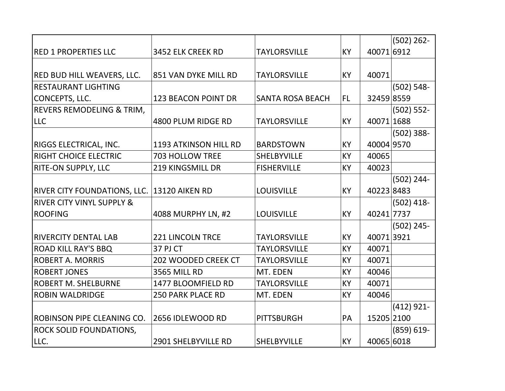|                                      |                            |                         |           |            | $(502)$ 262-  |
|--------------------------------------|----------------------------|-------------------------|-----------|------------|---------------|
| <b>RED 1 PROPERTIES LLC</b>          | 3452 ELK CREEK RD          | <b>TAYLORSVILLE</b>     | <b>KY</b> | 40071 6912 |               |
|                                      |                            |                         |           |            |               |
| <b>RED BUD HILL WEAVERS, LLC.</b>    | 851 VAN DYKE MILL RD       | <b>TAYLORSVILLE</b>     | <b>KY</b> | 40071      |               |
| <b>IRESTAURANT LIGHTING</b>          |                            |                         |           |            | $(502) 548 -$ |
| CONCEPTS, LLC.                       | <b>123 BEACON POINT DR</b> | <b>SANTA ROSA BEACH</b> | <b>FL</b> | 32459 8559 |               |
| <b>REVERS REMODELING &amp; TRIM,</b> |                            |                         |           |            | $(502) 552 -$ |
| <b>LLC</b>                           | 4800 PLUM RIDGE RD         | <b>TAYLORSVILLE</b>     | <b>KY</b> | 40071 1688 |               |
|                                      |                            |                         |           |            | $(502)$ 388-  |
| <b>RIGGS ELECTRICAL, INC.</b>        | 1193 ATKINSON HILL RD      | <b>BARDSTOWN</b>        | KY        | 40004 9570 |               |
| <b>RIGHT CHOICE ELECTRIC</b>         | <b>703 HOLLOW TREE</b>     | <b>SHELBYVILLE</b>      | KY        | 40065      |               |
| <b>RITE-ON SUPPLY, LLC</b>           | <b>219 KINGSMILL DR</b>    | <b>FISHERVILLE</b>      | KY        | 40023      |               |
|                                      |                            |                         |           |            | $(502) 244 -$ |
| <b>RIVER CITY FOUNDATIONS, LLC.</b>  | <b>13120 AIKEN RD</b>      | <b>LOUISVILLE</b>       | KY        | 40223 8483 |               |
| <b>RIVER CITY VINYL SUPPLY &amp;</b> |                            |                         |           |            | $(502)$ 418-  |
| <b>ROOFING</b>                       | 4088 MURPHY LN, #2         | <b>LOUISVILLE</b>       | <b>KY</b> | 40241 7737 |               |
|                                      |                            |                         |           |            | $(502)$ 245-  |
| <b>RIVERCITY DENTAL LAB</b>          | <b>221 LINCOLN TRCE</b>    | <b>TAYLORSVILLE</b>     | KY        | 400713921  |               |
| <b>ROAD KILL RAY'S BBQ</b>           | 37 PJ CT                   | <b>TAYLORSVILLE</b>     | KY        | 40071      |               |
| <b>ROBERT A. MORRIS</b>              | 202 WOODED CREEK CT        | <b>TAYLORSVILLE</b>     | <b>KY</b> | 40071      |               |
| <b>ROBERT JONES</b>                  | <b>3565 MILL RD</b>        | MT. EDEN                | KY        | 40046      |               |
| <b>ROBERT M. SHELBURNE</b>           | 1477 BLOOMFIELD RD         | <b>TAYLORSVILLE</b>     | KY        | 40071      |               |
| <b>ROBIN WALDRIDGE</b>               | <b>250 PARK PLACE RD</b>   | MT. EDEN                | KY        | 40046      |               |
|                                      |                            |                         |           |            | $(412)$ 921-  |
| ROBINSON PIPE CLEANING CO.           | 2656 IDLEWOOD RD           | <b>PITTSBURGH</b>       | PA        | 15205 2100 |               |
| <b>ROCK SOLID FOUNDATIONS,</b>       |                            |                         |           |            | $(859) 619 -$ |
| LLC.                                 | 2901 SHELBYVILLE RD        | <b>SHELBYVILLE</b>      | KY        | 40065 6018 |               |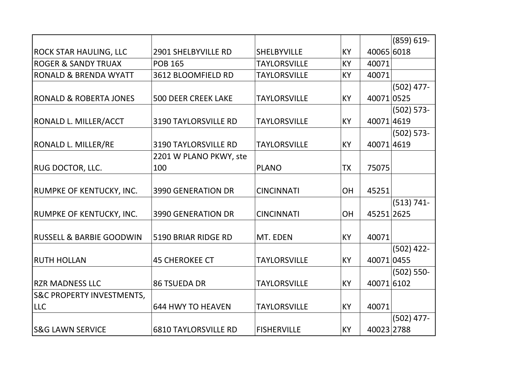|                                      |                             |                     |           |            | $(859) 619 -$ |
|--------------------------------------|-----------------------------|---------------------|-----------|------------|---------------|
| <b>ROCK STAR HAULING, LLC</b>        | 2901 SHELBYVILLE RD         | <b>SHELBYVILLE</b>  | <b>KY</b> | 40065 6018 |               |
| <b>ROGER &amp; SANDY TRUAX</b>       | <b>POB 165</b>              | <b>TAYLORSVILLE</b> | <b>KY</b> | 40071      |               |
| <b>RONALD &amp; BRENDA WYATT</b>     | 3612 BLOOMFIELD RD          | <b>TAYLORSVILLE</b> | <b>KY</b> | 40071      |               |
|                                      |                             |                     |           |            | $(502)$ 477-  |
| <b>RONALD &amp; ROBERTA JONES</b>    | <b>500 DEER CREEK LAKE</b>  | <b>TAYLORSVILLE</b> | <b>KY</b> | 400710525  |               |
|                                      |                             |                     |           |            | $(502) 573 -$ |
| <b>RONALD L. MILLER/ACCT</b>         | <b>3190 TAYLORSVILLE RD</b> | <b>TAYLORSVILLE</b> | KY        | 400714619  |               |
|                                      |                             |                     |           |            | $(502) 573 -$ |
| RONALD L. MILLER/RE                  | <b>3190 TAYLORSVILLE RD</b> | <b>TAYLORSVILLE</b> | <b>KY</b> | 400714619  |               |
|                                      | 2201 W PLANO PKWY, ste      |                     |           |            |               |
| <b>RUG DOCTOR, LLC.</b>              | 100                         | <b>PLANO</b>        | ТX        | 75075      |               |
|                                      |                             |                     |           |            |               |
| <b>RUMPKE OF KENTUCKY, INC.</b>      | <b>3990 GENERATION DR</b>   | <b>CINCINNATI</b>   | OH        | 45251      |               |
|                                      |                             |                     |           |            | $(513) 741 -$ |
| <b>RUMPKE OF KENTUCKY, INC.</b>      | <b>3990 GENERATION DR</b>   | <b>CINCINNATI</b>   | <b>OH</b> | 45251 2625 |               |
|                                      |                             |                     |           |            |               |
| <b>RUSSELL &amp; BARBIE GOODWIN</b>  | 5190 BRIAR RIDGE RD         | MT. EDEN            | <b>KY</b> | 40071      |               |
|                                      |                             |                     |           |            | $(502)$ 422-  |
| <b>RUTH HOLLAN</b>                   | <b>45 CHEROKEE CT</b>       | <b>TAYLORSVILLE</b> | <b>KY</b> | 40071 0455 |               |
|                                      |                             |                     |           |            | $(502) 550 -$ |
| <b>RZR MADNESS LLC</b>               | <b>86 TSUEDA DR</b>         | <b>TAYLORSVILLE</b> | KY        | 40071 6102 |               |
| <b>S&amp;C PROPERTY INVESTMENTS,</b> |                             |                     |           |            |               |
| <b>LLC</b>                           | <b>644 HWY TO HEAVEN</b>    | <b>TAYLORSVILLE</b> | <b>KY</b> | 40071      |               |
|                                      |                             |                     |           |            | $(502)$ 477-  |
| <b>S&amp;G LAWN SERVICE</b>          | <b>6810 TAYLORSVILLE RD</b> | <b>FISHERVILLE</b>  | <b>KY</b> | 40023 2788 |               |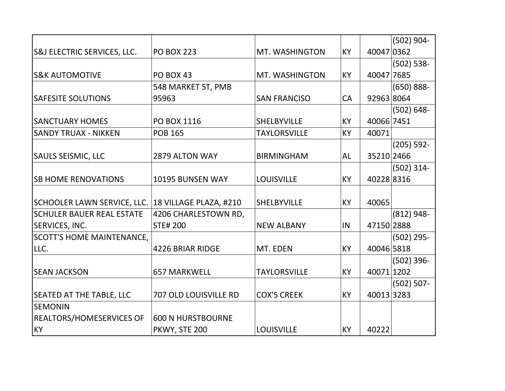|                                                    |                          |                     |           |            | $(502)$ 904-  |
|----------------------------------------------------|--------------------------|---------------------|-----------|------------|---------------|
| <b>S&amp;J ELECTRIC SERVICES, LLC.</b>             | <b>PO BOX 223</b>        | MT. WASHINGTON      | KY        | 40047 0362 |               |
|                                                    |                          |                     |           |            | $(502) 538 -$ |
| <b>S&amp;K AUTOMOTIVE</b>                          | <b>PO BOX 43</b>         | MT. WASHINGTON      | KY        | 40047 7685 |               |
|                                                    | 548 MARKET ST, PMB       |                     |           |            | $(650) 888 -$ |
| <b>SAFESITE SOLUTIONS</b>                          | 95963                    | <b>SAN FRANCISO</b> | CA        | 92963 8064 |               |
|                                                    |                          |                     |           |            | $(502) 648 -$ |
| <b>SANCTUARY HOMES</b>                             | PO BOX 1116              | <b>SHELBYVILLE</b>  | KY        | 40066 7451 |               |
| <b>SANDY TRUAX - NIKKEN</b>                        | <b>POB 165</b>           | <b>TAYLORSVILLE</b> | <b>KY</b> | 40071      |               |
|                                                    |                          |                     |           |            | $(205) 592 -$ |
| <b>SAULS SEISMIC, LLC</b>                          | 2879 ALTON WAY           | <b>BIRMINGHAM</b>   | <b>AL</b> | 35210 2466 |               |
|                                                    |                          |                     |           |            | $(502)$ 314-  |
| <b>SB HOME RENOVATIONS</b>                         | 10195 BUNSEN WAY         | <b>LOUISVILLE</b>   | <b>KY</b> | 40228 8316 |               |
|                                                    |                          |                     |           |            |               |
| SCHOOLER LAWN SERVICE, LLC. 18 VILLAGE PLAZA, #210 |                          | <b>SHELBYVILLE</b>  | <b>KY</b> | 40065      |               |
| <b>SCHULER BAUER REAL ESTATE</b>                   | 4206 CHARLESTOWN RD,     |                     |           |            | $(812) 948 -$ |
| <b>SERVICES, INC.</b>                              | <b>STE# 200</b>          | <b>NEW ALBANY</b>   | IN        | 47150 2888 |               |
| <b>SCOTT'S HOME MAINTENANCE,</b>                   |                          |                     |           |            | $(502)$ 295-  |
| LLC.                                               | <b>4226 BRIAR RIDGE</b>  | MT. EDEN            | <b>KY</b> | 40046 5818 |               |
|                                                    |                          |                     |           |            | $(502)$ 396-  |
| <b>SEAN JACKSON</b>                                | <b>657 MARKWELL</b>      | <b>TAYLORSVILLE</b> | <b>KY</b> | 40071 1202 |               |
|                                                    |                          |                     |           |            | $(502) 507 -$ |
| <b>SEATED AT THE TABLE, LLC</b>                    | 707 OLD LOUISVILLE RD    | <b>COX'S CREEK</b>  | <b>KY</b> | 400133283  |               |
| <b>SEMONIN</b>                                     |                          |                     |           |            |               |
| <b>REALTORS/HOMESERVICES OF</b>                    | <b>600 N HURSTBOURNE</b> |                     |           |            |               |
| <b>KY</b>                                          | PKWY, STE 200            | <b>LOUISVILLE</b>   | KY        | 40222      |               |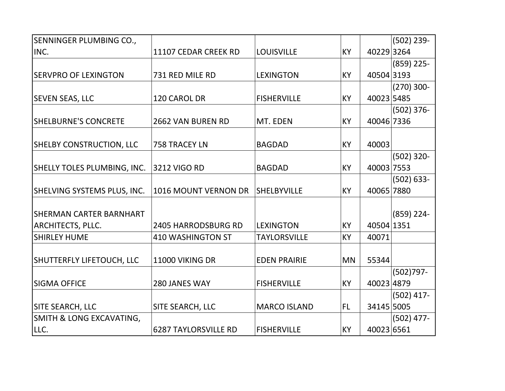| SENNINGER PLUMBING CO.,            |                             |                     |           |            | $(502)$ 239-  |
|------------------------------------|-----------------------------|---------------------|-----------|------------|---------------|
| INC.                               | 11107 CEDAR CREEK RD        | <b>LOUISVILLE</b>   | <b>KY</b> | 40229 3264 |               |
|                                    |                             |                     |           |            | $(859)$ 225-  |
| <b>SERVPRO OF LEXINGTON</b>        | 731 RED MILE RD             | <b>LEXINGTON</b>    | <b>KY</b> | 40504 3193 |               |
|                                    |                             |                     |           |            | $(270)$ 300-  |
| <b>SEVEN SEAS, LLC</b>             | 120 CAROL DR                | <b>FISHERVILLE</b>  | <b>KY</b> | 40023 5485 |               |
|                                    |                             |                     |           |            | $(502)$ 376-  |
| <b>SHELBURNE'S CONCRETE</b>        | <b>2662 VAN BUREN RD</b>    | MT. EDEN            | <b>KY</b> | 40046 7336 |               |
|                                    |                             |                     |           |            |               |
| <b>SHELBY CONSTRUCTION, LLC</b>    | 758 TRACEY LN               | <b>BAGDAD</b>       | <b>KY</b> | 40003      |               |
|                                    |                             |                     |           |            | $(502)$ 320-  |
| <b>SHELLY TOLES PLUMBING, INC.</b> | 3212 VIGO RD                | <b>BAGDAD</b>       | <b>KY</b> | 40003 7553 |               |
|                                    |                             |                     |           |            | $(502) 633 -$ |
| SHELVING SYSTEMS PLUS, INC.        | 1016 MOUNT VERNON DR        | <b>SHELBYVILLE</b>  | KY        | 40065 7880 |               |
|                                    |                             |                     |           |            |               |
| <b>SHERMAN CARTER BARNHART</b>     |                             |                     |           |            | $(859)$ 224-  |
| <b>ARCHITECTS, PLLC.</b>           | <b>2405 HARRODSBURG RD</b>  | <b>LEXINGTON</b>    | <b>KY</b> | 40504 1351 |               |
| <b>SHIRLEY HUME</b>                | <b>410 WASHINGTON ST</b>    | <b>TAYLORSVILLE</b> | KY        | 40071      |               |
|                                    |                             |                     |           |            |               |
| SHUTTERFLY LIFETOUCH, LLC          | 11000 VIKING DR             | <b>EDEN PRAIRIE</b> | <b>MN</b> | 55344      |               |
|                                    |                             |                     |           |            | $(502)797 -$  |
| <b>SIGMA OFFICE</b>                | 280 JANES WAY               | <b>FISHERVILLE</b>  | <b>KY</b> | 40023 4879 |               |
|                                    |                             |                     |           |            | $(502)$ 417-  |
| SITE SEARCH, LLC                   | SITE SEARCH, LLC            | <b>MARCO ISLAND</b> | <b>FL</b> | 34145 5005 |               |
| SMITH & LONG EXCAVATING,           |                             |                     |           |            | $(502)$ 477-  |
| LLC.                               | <b>6287 TAYLORSVILLE RD</b> | <b>FISHERVILLE</b>  | <b>KY</b> | 40023 6561 |               |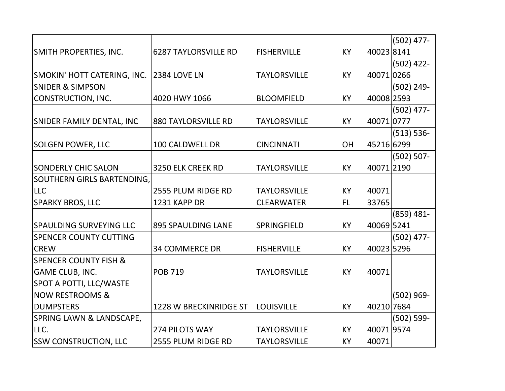|                                   |                             |                     |           |            | $(502)$ 477-  |
|-----------------------------------|-----------------------------|---------------------|-----------|------------|---------------|
| SMITH PROPERTIES, INC.            | <b>6287 TAYLORSVILLE RD</b> | <b>FISHERVILLE</b>  | <b>KY</b> | 400238141  |               |
|                                   |                             |                     |           |            | $(502)$ 422-  |
| SMOKIN' HOTT CATERING, INC.       | 2384 LOVE LN                | <b>TAYLORSVILLE</b> | <b>KY</b> | 400710266  |               |
| <b>SNIDER &amp; SIMPSON</b>       |                             |                     |           |            | $(502)$ 249-  |
| CONSTRUCTION, INC.                | 4020 HWY 1066               | <b>BLOOMFIELD</b>   | <b>KY</b> | 40008 2593 |               |
|                                   |                             |                     |           |            | $(502)$ 477-  |
| SNIDER FAMILY DENTAL, INC         | <b>880 TAYLORSVILLE RD</b>  | <b>TAYLORSVILLE</b> | KY        | 40071 0777 |               |
|                                   |                             |                     |           |            | $(513) 536 -$ |
| <b>SOLGEN POWER, LLC</b>          | 100 CALDWELL DR             | <b>CINCINNATI</b>   | OH        | 45216 6299 |               |
|                                   |                             |                     |           |            | $(502) 507 -$ |
| <b>SONDERLY CHIC SALON</b>        | 3250 ELK CREEK RD           | <b>TAYLORSVILLE</b> | <b>KY</b> | 40071 2190 |               |
| <b>SOUTHERN GIRLS BARTENDING,</b> |                             |                     |           |            |               |
| <b>LLC</b>                        | 2555 PLUM RIDGE RD          | <b>TAYLORSVILLE</b> | <b>KY</b> | 40071      |               |
| <b>SPARKY BROS, LLC</b>           | 1231 KAPP DR                | <b>CLEARWATER</b>   | FL        | 33765      |               |
|                                   |                             |                     |           |            | $(859)$ 481-  |
| <b>SPAULDING SURVEYING LLC</b>    | <b>895 SPAULDING LANE</b>   | SPRINGFIELD         | <b>KY</b> | 40069 5241 |               |
| <b>SPENCER COUNTY CUTTING</b>     |                             |                     |           |            | $(502)$ 477-  |
| <b>CREW</b>                       | <b>34 COMMERCE DR</b>       | <b>FISHERVILLE</b>  | <b>KY</b> | 40023 5296 |               |
| <b>SPENCER COUNTY FISH &amp;</b>  |                             |                     |           |            |               |
| <b>GAME CLUB, INC.</b>            | <b>POB 719</b>              | <b>TAYLORSVILLE</b> | KY        | 40071      |               |
| <b>SPOT A POTTI, LLC/WASTE</b>    |                             |                     |           |            |               |
| <b>NOW RESTROOMS &amp;</b>        |                             |                     |           |            | $(502)$ 969-  |
| <b>DUMPSTERS</b>                  | 1228 W BRECKINRIDGE ST      | <b>LOUISVILLE</b>   | <b>KY</b> | 40210 7684 |               |
| SPRING LAWN & LANDSCAPE,          |                             |                     |           |            | $(502) 599 -$ |
| LLC.                              | 274 PILOTS WAY              | <b>TAYLORSVILLE</b> | KY        | 400719574  |               |
| <b>SSW CONSTRUCTION, LLC</b>      | 2555 PLUM RIDGE RD          | <b>TAYLORSVILLE</b> | <b>KY</b> | 40071      |               |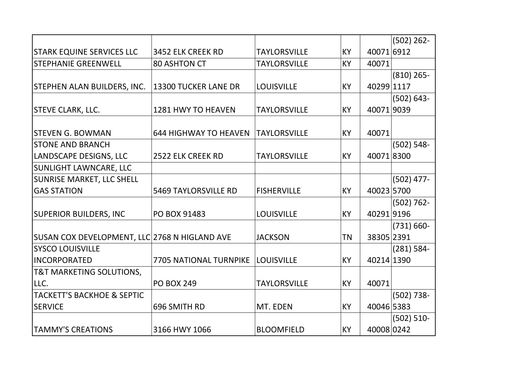|                                               |                               |                     |           |            | $(502) 262 -$ |
|-----------------------------------------------|-------------------------------|---------------------|-----------|------------|---------------|
| <b>STARK EQUINE SERVICES LLC</b>              | 3452 ELK CREEK RD             | <b>TAYLORSVILLE</b> | KY        | 40071 6912 |               |
| <b>STEPHANIE GREENWELL</b>                    | <b>80 ASHTON CT</b>           | <b>TAYLORSVILLE</b> | <b>KY</b> | 40071      |               |
|                                               |                               |                     |           |            | $(810)$ 265-  |
| <b>STEPHEN ALAN BUILDERS, INC.</b>            | 13300 TUCKER LANE DR          | <b>LOUISVILLE</b>   | KY        | 40299 1117 |               |
|                                               |                               |                     |           |            | $(502) 643 -$ |
| <b>STEVE CLARK, LLC.</b>                      | 1281 HWY TO HEAVEN            | <b>TAYLORSVILLE</b> | KY        | 400719039  |               |
|                                               |                               |                     |           |            |               |
| <b>STEVEN G. BOWMAN</b>                       | <b>644 HIGHWAY TO HEAVEN</b>  | <b>TAYLORSVILLE</b> | <b>KY</b> | 40071      |               |
| <b>STONE AND BRANCH</b>                       |                               |                     |           |            | $(502) 548 -$ |
| LANDSCAPE DESIGNS, LLC                        | 2522 ELK CREEK RD             | <b>TAYLORSVILLE</b> | KY        | 400718300  |               |
| SUNLIGHT LAWNCARE, LLC                        |                               |                     |           |            |               |
| SUNRISE MARKET, LLC SHELL                     |                               |                     |           |            | $(502)$ 477-  |
| <b>GAS STATION</b>                            | <b>5469 TAYLORSVILLE RD</b>   | <b>FISHERVILLE</b>  | KY        | 40023 5700 |               |
|                                               |                               |                     |           |            | $(502) 762 -$ |
| <b>SUPERIOR BUILDERS, INC</b>                 | PO BOX 91483                  | <b>LOUISVILLE</b>   | KY        | 402919196  |               |
|                                               |                               |                     |           |            | $(731) 660 -$ |
| SUSAN COX DEVELOPMENT, LLC 2768 N HIGLAND AVE |                               | <b>JACKSON</b>      | <b>TN</b> | 38305 2391 |               |
| <b>SYSCO LOUISVILLE</b>                       |                               |                     |           |            | $(281) 584 -$ |
| INCORPORATED                                  | <b>7705 NATIONAL TURNPIKE</b> | <b>LOUISVILLE</b>   | KY        | 40214 1390 |               |
| <b>T&amp;T MARKETING SOLUTIONS,</b>           |                               |                     |           |            |               |
| LLC.                                          | <b>PO BOX 249</b>             | <b>TAYLORSVILLE</b> | KY        | 40071      |               |
| <b>TACKETT'S BACKHOE &amp; SEPTIC</b>         |                               |                     |           |            | $(502)$ 738-  |
| <b>SERVICE</b>                                | 696 SMITH RD                  | MT. EDEN            | KY        | 40046 5383 |               |
|                                               |                               |                     |           |            | $(502) 510 -$ |
| <b>TAMMY'S CREATIONS</b>                      | 3166 HWY 1066                 | <b>BLOOMFIELD</b>   | <b>KY</b> | 40008 0242 |               |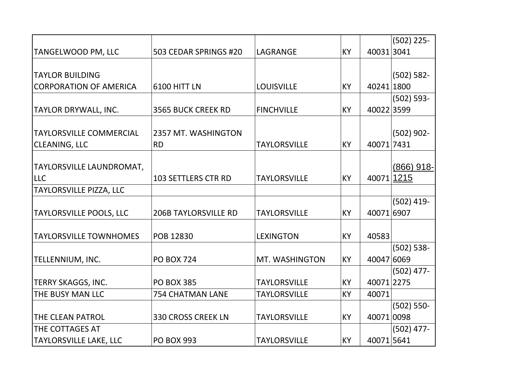|                                |                             |                     |           |            | $(502)$ 225-  |
|--------------------------------|-----------------------------|---------------------|-----------|------------|---------------|
| TANGELWOOD PM, LLC             | 503 CEDAR SPRINGS #20       | LAGRANGE            | KY        | 400313041  |               |
|                                |                             |                     |           |            |               |
| <b>TAYLOR BUILDING</b>         |                             |                     |           |            | $(502) 582 -$ |
| <b>CORPORATION OF AMERICA</b>  | 6100 HITT LN                | <b>LOUISVILLE</b>   | <b>KY</b> | 40241 1800 |               |
|                                |                             |                     |           |            | $(502) 593 -$ |
| TAYLOR DRYWALL, INC.           | <b>3565 BUCK CREEK RD</b>   | <b>FINCHVILLE</b>   | <b>KY</b> | 400223599  |               |
|                                |                             |                     |           |            |               |
| <b>TAYLORSVILLE COMMERCIAL</b> | 2357 MT. WASHINGTON         |                     |           |            | $(502)$ 902-  |
| <b>CLEANING, LLC</b>           | <b>RD</b>                   | <b>TAYLORSVILLE</b> | KY        | 40071 7431 |               |
|                                |                             |                     |           |            |               |
| TAYLORSVILLE LAUNDROMAT,       |                             |                     |           |            | $(866)$ 918-  |
| <b>LLC</b>                     | <b>103 SETTLERS CTR RD</b>  | <b>TAYLORSVILLE</b> | KY        | 40071      | 1215          |
| TAYLORSVILLE PIZZA, LLC        |                             |                     |           |            |               |
|                                |                             |                     |           |            | $(502)$ 419-  |
| TAYLORSVILLE POOLS, LLC        | <b>206B TAYLORSVILLE RD</b> | <b>TAYLORSVILLE</b> | <b>KY</b> | 40071 6907 |               |
|                                |                             |                     |           |            |               |
| <b>TAYLORSVILLE TOWNHOMES</b>  | POB 12830                   | <b>LEXINGTON</b>    | <b>KY</b> | 40583      |               |
|                                |                             |                     |           |            | $(502) 538 -$ |
| TELLENNIUM, INC.               | <b>PO BOX 724</b>           | MT. WASHINGTON      | KY        | 40047 6069 |               |
|                                |                             |                     |           |            | $(502)$ 477-  |
| TERRY SKAGGS, INC.             | <b>PO BOX 385</b>           | <b>TAYLORSVILLE</b> | <b>KY</b> | 40071 2275 |               |
| THE BUSY MAN LLC               | <b>754 CHATMAN LANE</b>     | <b>TAYLORSVILLE</b> | <b>KY</b> | 40071      |               |
|                                |                             |                     |           |            | $(502) 550 -$ |
| THE CLEAN PATROL               | <b>330 CROSS CREEK LN</b>   | <b>TAYLORSVILLE</b> | KY        | 40071 0098 |               |
| THE COTTAGES AT                |                             |                     |           |            | $(502)$ 477-  |
| <b>TAYLORSVILLE LAKE, LLC</b>  | <b>PO BOX 993</b>           | <b>TAYLORSVILLE</b> | KY        | 40071 5641 |               |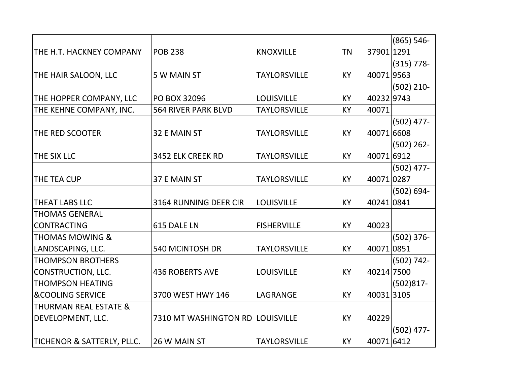|                                  |                                  |                     |           |            | $(865) 546 -$ |
|----------------------------------|----------------------------------|---------------------|-----------|------------|---------------|
| THE H.T. HACKNEY COMPANY         | <b>POB 238</b>                   | <b>KNOXVILLE</b>    | <b>TN</b> | 37901 1291 |               |
|                                  |                                  |                     |           |            | $(315) 778 -$ |
| THE HAIR SALOON, LLC             | 5 W MAIN ST                      | <b>TAYLORSVILLE</b> | <b>KY</b> | 400719563  |               |
|                                  |                                  |                     |           |            | $(502)$ 210-  |
| THE HOPPER COMPANY, LLC          | PO BOX 32096                     | <b>LOUISVILLE</b>   | <b>KY</b> | 40232 9743 |               |
| THE KEHNE COMPANY, INC.          | <b>564 RIVER PARK BLVD</b>       | <b>TAYLORSVILLE</b> | <b>KY</b> | 40071      |               |
|                                  |                                  |                     |           |            | $(502)$ 477-  |
| <b>THE RED SCOOTER</b>           | 32 E MAIN ST                     | <b>TAYLORSVILLE</b> | <b>KY</b> | 40071 6608 |               |
|                                  |                                  |                     |           |            | $(502)$ 262-  |
| THE SIX LLC                      | 3452 ELK CREEK RD                | <b>TAYLORSVILLE</b> | <b>KY</b> | 40071 6912 |               |
|                                  |                                  |                     |           |            | $(502)$ 477-  |
| THE TEA CUP                      | 37 E MAIN ST                     | <b>TAYLORSVILLE</b> | <b>KY</b> | 40071 0287 |               |
|                                  |                                  |                     |           |            | $(502) 694 -$ |
| <b>THEAT LABS LLC</b>            | 3164 RUNNING DEER CIR            | <b>LOUISVILLE</b>   | <b>KY</b> | 402410841  |               |
| <b>THOMAS GENERAL</b>            |                                  |                     |           |            |               |
| <b>CONTRACTING</b>               | 615 DALE LN                      | <b>FISHERVILLE</b>  | <b>KY</b> | 40023      |               |
| <b>THOMAS MOWING &amp;</b>       |                                  |                     |           |            | $(502)$ 376-  |
| LANDSCAPING, LLC.                | 540 MCINTOSH DR                  | <b>TAYLORSVILLE</b> | <b>KY</b> | 400710851  |               |
| <b>THOMPSON BROTHERS</b>         |                                  |                     |           |            | $(502) 742 -$ |
| <b>CONSTRUCTION, LLC.</b>        | <b>436 ROBERTS AVE</b>           | <b>LOUISVILLE</b>   | <b>KY</b> | 40214 7500 |               |
| <b>THOMPSON HEATING</b>          |                                  |                     |           |            | $(502)817 -$  |
| <b>&amp;COOLING SERVICE</b>      | 3700 WEST HWY 146                | LAGRANGE            | <b>KY</b> | 400313105  |               |
| <b>THURMAN REAL ESTATE &amp;</b> |                                  |                     |           |            |               |
| DEVELOPMENT, LLC.                | 7310 MT WASHINGTON RD LOUISVILLE |                     | <b>KY</b> | 40229      |               |
|                                  |                                  |                     |           |            | $(502)$ 477-  |
| TICHENOR & SATTERLY, PLLC.       | 26 W MAIN ST                     | <b>TAYLORSVILLE</b> | <b>KY</b> | 40071 6412 |               |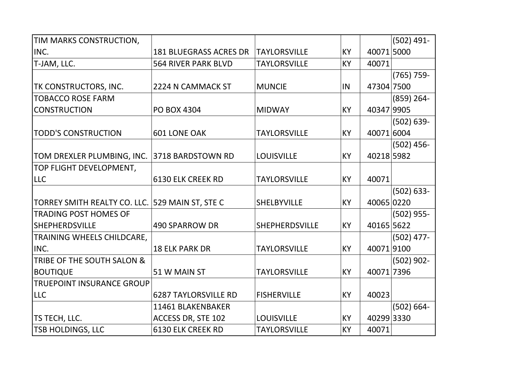| TIM MARKS CONSTRUCTION,                         |                               |                     |           |            | $(502)$ 491-  |
|-------------------------------------------------|-------------------------------|---------------------|-----------|------------|---------------|
| INC.                                            | <b>181 BLUEGRASS ACRES DR</b> | <b>TAYLORSVILLE</b> | KY        | 40071 5000 |               |
| T-JAM, LLC.                                     | <b>564 RIVER PARK BLVD</b>    | <b>TAYLORSVILLE</b> | KY        | 40071      |               |
|                                                 |                               |                     |           |            | $(765) 759 -$ |
| <b>TK CONSTRUCTORS, INC.</b>                    | 2224 N CAMMACK ST             | <b>MUNCIE</b>       | IN        | 47304 7500 |               |
| <b>TOBACCO ROSE FARM</b>                        |                               |                     |           |            | $(859)$ 264-  |
| <b>CONSTRUCTION</b>                             | <b>PO BOX 4304</b>            | <b>MIDWAY</b>       | <b>KY</b> | 40347 9905 |               |
|                                                 |                               |                     |           |            | $(502) 639 -$ |
| <b>TODD'S CONSTRUCTION</b>                      | <b>601 LONE OAK</b>           | <b>TAYLORSVILLE</b> | KY        | 40071 6004 |               |
|                                                 |                               |                     |           |            | $(502)$ 456-  |
| TOM DREXLER PLUMBING, INC.                      | 3718 BARDSTOWN RD             | <b>LOUISVILLE</b>   | KY        | 40218 5982 |               |
| TOP FLIGHT DEVELOPMENT,                         |                               |                     |           |            |               |
| <b>LLC</b>                                      | <b>6130 ELK CREEK RD</b>      | <b>TAYLORSVILLE</b> | KY        | 40071      |               |
|                                                 |                               |                     |           |            | $(502) 633 -$ |
| TORREY SMITH REALTY CO. LLC. 529 MAIN ST, STE C |                               | <b>SHELBYVILLE</b>  | KY        | 40065 0220 |               |
| <b>TRADING POST HOMES OF</b>                    |                               |                     |           |            | $(502)$ 955-  |
| <b>SHEPHERDSVILLE</b>                           | <b>490 SPARROW DR</b>         | SHEPHERDSVILLE      | KY        | 40165 5622 |               |
| TRAINING WHEELS CHILDCARE,                      |                               |                     |           |            | $(502)$ 477-  |
| INC.                                            | <b>18 ELK PARK DR</b>         | <b>TAYLORSVILLE</b> | <b>KY</b> | 400719100  |               |
| TRIBE OF THE SOUTH SALON &                      |                               |                     |           |            | $(502)$ 902-  |
| <b>BOUTIQUE</b>                                 | 51 W MAIN ST                  | <b>TAYLORSVILLE</b> | KY        | 40071 7396 |               |
| <b>TRUEPOINT INSURANCE GROUP</b>                |                               |                     |           |            |               |
| <b>LLC</b>                                      | <b>6287 TAYLORSVILLE RD</b>   | <b>FISHERVILLE</b>  | KY        | 40023      |               |
|                                                 | 11461 BLAKENBAKER             |                     |           |            | $(502) 664 -$ |
| <b>TS TECH, LLC.</b>                            | ACCESS DR, STE 102            | <b>LOUISVILLE</b>   | KY        | 40299 3330 |               |
| <b>TSB HOLDINGS, LLC</b>                        | <b>6130 ELK CREEK RD</b>      | <b>TAYLORSVILLE</b> | KY        | 40071      |               |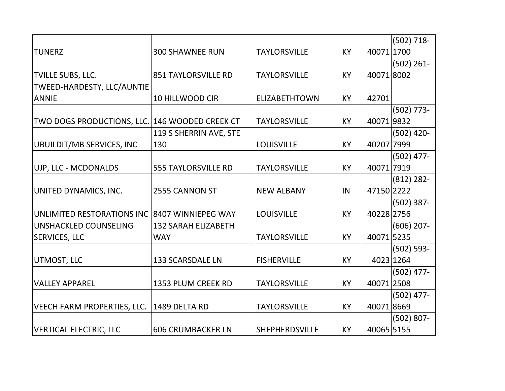|                                                |                            |                       |           |            | $(502) 718 -$ |
|------------------------------------------------|----------------------------|-----------------------|-----------|------------|---------------|
| <b>TUNERZ</b>                                  | <b>300 SHAWNEE RUN</b>     | <b>TAYLORSVILLE</b>   | <b>KY</b> | 40071 1700 |               |
|                                                |                            |                       |           |            | $(502) 261 -$ |
| <b>TVILLE SUBS, LLC.</b>                       | <b>851 TAYLORSVILLE RD</b> | <b>TAYLORSVILLE</b>   | <b>KY</b> | 400718002  |               |
| TWEED-HARDESTY, LLC/AUNTIE                     |                            |                       |           |            |               |
| <b>ANNIE</b>                                   | 10 HILLWOOD CIR            | <b>ELIZABETHTOWN</b>  | <b>KY</b> | 42701      |               |
|                                                |                            |                       |           |            | $(502)$ 773-  |
| TWO DOGS PRODUCTIONS, LLC. 146 WOODED CREEK CT |                            | <b>TAYLORSVILLE</b>   | <b>KY</b> | 400719832  |               |
|                                                | 119 S SHERRIN AVE, STE     |                       |           |            | $(502)$ 420-  |
| UBUILDIT/MB SERVICES, INC                      | 130                        | <b>LOUISVILLE</b>     | <b>KY</b> | 40207 7999 |               |
|                                                |                            |                       |           |            | $(502)$ 477-  |
| UJP, LLC - MCDONALDS                           | <b>555 TAYLORSVILLE RD</b> | <b>TAYLORSVILLE</b>   | <b>KY</b> | 40071 7919 |               |
|                                                |                            |                       |           |            | $(812)$ 282-  |
| UNITED DYNAMICS, INC.                          | 2555 CANNON ST             | <b>NEW ALBANY</b>     | IN        | 47150 2222 |               |
|                                                |                            |                       |           |            | $(502)$ 387-  |
| UNLIMITED RESTORATIONS INC 8407 WINNIEPEG WAY  |                            | <b>LOUISVILLE</b>     | <b>KY</b> | 40228 2756 |               |
| UNSHACKLED COUNSELING                          | <b>132 SARAH ELIZABETH</b> |                       |           |            | $(606)$ 207-  |
| <b>SERVICES, LLC</b>                           | <b>WAY</b>                 | <b>TAYLORSVILLE</b>   | <b>KY</b> | 40071 5235 |               |
|                                                |                            |                       |           |            | $(502) 593 -$ |
| UTMOST, LLC                                    | <b>133 SCARSDALE LN</b>    | <b>FISHERVILLE</b>    | <b>KY</b> |            | 4023 1264     |
|                                                |                            |                       |           |            | $(502)$ 477-  |
| <b>VALLEY APPAREL</b>                          | 1353 PLUM CREEK RD         | <b>TAYLORSVILLE</b>   | <b>KY</b> | 40071 2508 |               |
|                                                |                            |                       |           |            | $(502)$ 477-  |
| VEECH FARM PROPERTIES, LLC.                    | 1489 DELTA RD              | <b>TAYLORSVILLE</b>   | <b>KY</b> | 400718669  |               |
|                                                |                            |                       |           |            | $(502) 807 -$ |
| VERTICAL ELECTRIC, LLC                         | <b>606 CRUMBACKER LN</b>   | <b>SHEPHERDSVILLE</b> | KY        | 40065 5155 |               |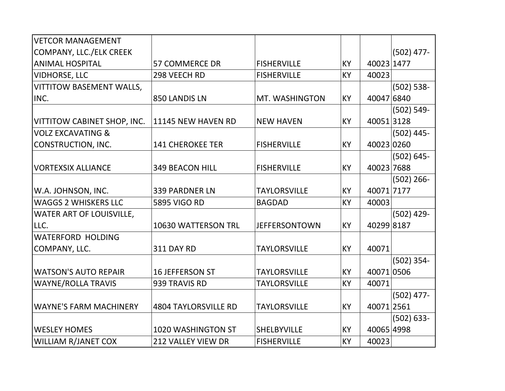| VETCOR MANAGEMENT               |                             |                      |           |            |               |
|---------------------------------|-----------------------------|----------------------|-----------|------------|---------------|
| COMPANY, LLC./ELK CREEK         |                             |                      |           |            | $(502)$ 477-  |
| <b>ANIMAL HOSPITAL</b>          | <b>57 COMMERCE DR</b>       | <b>FISHERVILLE</b>   | KY        | 40023 1477 |               |
| <b>VIDHORSE, LLC</b>            | 298 VEECH RD                | <b>FISHERVILLE</b>   | KY        | 40023      |               |
| VITTITOW BASEMENT WALLS,        |                             |                      |           |            | $(502) 538 -$ |
| INC.                            | 850 LANDIS LN               | MT. WASHINGTON       | KY        | 40047 6840 |               |
|                                 |                             |                      |           |            | $(502) 549 -$ |
| VITTITOW CABINET SHOP, INC.     | 11145 NEW HAVEN RD          | <b>NEW HAVEN</b>     | KY        | 400513128  |               |
| VOLZ EXCAVATING &               |                             |                      |           |            | $(502)$ 445-  |
| CONSTRUCTION, INC.              | <b>141 CHEROKEE TER</b>     | <b>FISHERVILLE</b>   | KY        | 40023 0260 |               |
|                                 |                             |                      |           |            | $(502) 645 -$ |
| <b>VORTEXSIX ALLIANCE</b>       | <b>349 BEACON HILL</b>      | <b>FISHERVILLE</b>   | KY        | 40023 7688 |               |
|                                 |                             |                      |           |            | $(502)$ 266-  |
| W.A. JOHNSON, INC.              | <b>339 PARDNER LN</b>       | <b>TAYLORSVILLE</b>  | <b>KY</b> | 40071 7177 |               |
| <b>WAGGS 2 WHISKERS LLC</b>     | <b>5895 VIGO RD</b>         | <b>BAGDAD</b>        | <b>KY</b> | 40003      |               |
| <b>WATER ART OF LOUISVILLE,</b> |                             |                      |           |            | $(502)$ 429-  |
| LLC.                            | 10630 WATTERSON TRL         | <b>JEFFERSONTOWN</b> | KY        | 402998187  |               |
| WATERFORD HOLDING               |                             |                      |           |            |               |
| COMPANY, LLC.                   | <b>311 DAY RD</b>           | <b>TAYLORSVILLE</b>  | KY        | 40071      |               |
|                                 |                             |                      |           |            | $(502)$ 354-  |
| WATSON'S AUTO REPAIR            | <b>16 JEFFERSON ST</b>      | <b>TAYLORSVILLE</b>  | KY        | 40071 0506 |               |
| <b>WAYNE/ROLLA TRAVIS</b>       | 939 TRAVIS RD               | <b>TAYLORSVILLE</b>  | <b>KY</b> | 40071      |               |
|                                 |                             |                      |           |            | $(502)$ 477-  |
| WAYNE'S FARM MACHINERY          | <b>4804 TAYLORSVILLE RD</b> | <b>TAYLORSVILLE</b>  | KY        | 40071 2561 |               |
|                                 |                             |                      |           |            | $(502) 633 -$ |
| <b>WESLEY HOMES</b>             | 1020 WASHINGTON ST          | <b>SHELBYVILLE</b>   | KY        | 40065 4998 |               |
| <b>WILLIAM R/JANET COX</b>      | <b>212 VALLEY VIEW DR</b>   | <b>FISHERVILLE</b>   | <b>KY</b> | 40023      |               |